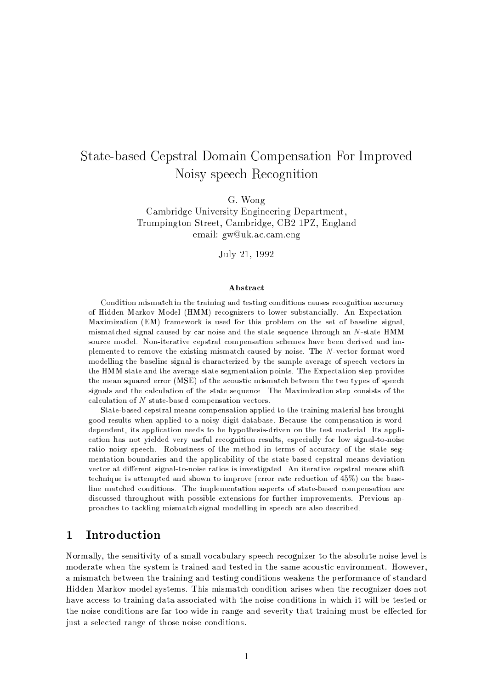# State-based Cepstral Domain Compensation For Improved Noisy speech Recognition

G. Wong

Cambridge University Engineering Department, Trumpington Street, Cambridge, CB2 1PZ, England email: gw@uk.ac.cam.eng

July 21, 1992

### Abstract

Condition mismatch in the training and testing conditions causes recognition accuracy of Hidden Markov Model (HMM) recognizers to lower substancially. An Expectation-Maximization (EM) framework is used for this problem on the set of baseline signal. mismatched signal caused by car noise and the state sequence through an N-state HMM source model. Non-iterative cepstral compensation schemes have been derived and implemented to remove the existing mismatch caused by noise. The N-vector format word modelling the baseline signal is characterized by the sample average of speech vectors in the HMM state and the average state segmentation points. The Expectation step provides the mean squared error (MSE) of the acoustic mismatch between the two types of speech signals and the calculation of the state sequence. The Maximization step consists of the calculation of  $N$  state-based compensation vectors.

State-based cepstral means compensation applied to the training material has brought good results when applied to a noisy digit database. Because the compensation is worddependent, its application needs to be hypothesis-driven on the test material. Its application has not yielded very useful recognition results, especially for low signal-to-noise ratio noisy speech. Robustness of the method in terms of accuracy of the state segmentation boundaries and the applicability of the state-based cepstral means deviation vector at different signal-to-noise ratios is investigated. An iterative cepstral means shift technique is attempted and shown to improve (error rate reduction of 45%) on the baseline matched conditions. The implementation aspects of state-based compensation are discussed throughout with possible extensions for further improvements. Previous approaches to tackling mismatch signal modelling in speech are also described.

#### Introduction  $\mathbf{1}$

Normally, the sensitivity of a small vocabulary speech recognizer to the absolute noise level is moderate when the system is trained and tested in the same acoustic environment. However, a mismatch between the training and testing conditions weakens the performance of standard Hidden Markov model systems. This mismatch condition arises when the recognizer does not have access to training data associated with the noise conditions in which it will be tested or the noise conditions are far too wide in range and severity that training must be effected for just a selected range of those noise conditions.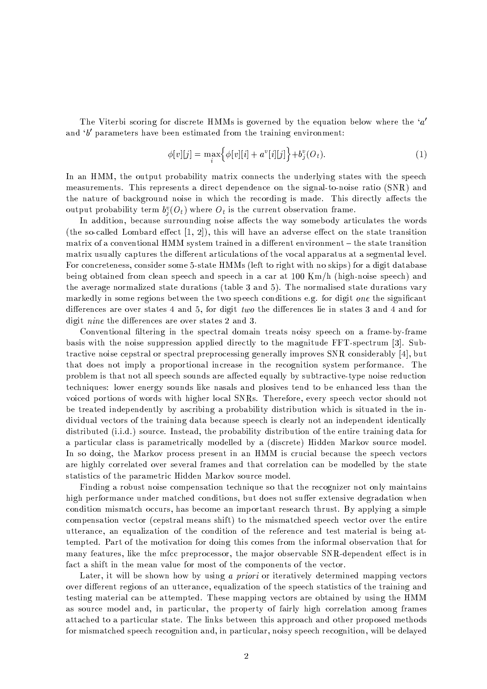The Viterbi scoring for discrete HMMs is governed by the equation below where the ' $a'$ and  $b'$  parameters have been estimated from the training environment:

$$
\phi[v][j] = \max_{i} \Big\{ \phi[v][i] + a^{v}[i][j] \Big\} + b^{v}_{j}(O_{t}). \tag{1}
$$

In an HMM, the output probability matrix connects the underlying states with the speech measurements. This represents a direct dependence on the signal-to-noise ratio (SNR) and the nature of background noise in which the recording is made. This directly affects the output probability term  $b_i^v(O_t)$  where  $O_t$  is the current observation frame.

In addition, because surrounding noise affects the way somebody articulates the words (the so-called Lombard effect  $[1, 2]$ ), this will have an adverse effect on the state transition matrix of a conventional HMM system trained in a different environment – the state transition matrix usually captures the different articulations of the vocal apparatus at a segmental level. For concreteness, consider some 5-state HMMs (left to right with no skips) for a digit database being obtained from clean speech and speech in a car at  $100 \text{ Km/h}$  (high-noise speech) and the average normalized state durations (table 3 and 5). The normalised state durations vary markedly in some regions between the two speech conditions e.g. for digit one the significant differences are over states 4 and 5, for digit two the differences lie in states 3 and 4 and for digit *nine* the differences are over states 2 and 3.

Conventional filtering in the spectral domain treats noisy speech on a frame-by-frame basis with the noise suppression applied directly to the magnitude FFT-spectrum [3]. Subtractive noise cepstral or spectral preprocessing generally improves SNR considerably [4], but that does not imply a proportional increase in the recognition system performance. The problem is that not all speech sounds are affected equally by subtractive-type noise reduction techniques: lower energy sounds like nasals and plosives tend to be enhanced less than the voiced portions of words with higher local SNRs. Therefore, every speech vector should not be treated independently by ascribing a probability distribution which is situated in the individual vectors of the training data because speech is clearly not an independent identically distributed (i.i.d.) source. Instead, the probability distribution of the entire training data for a particular class is parametrically modelled by a (discrete) Hidden Markov source model. In so doing, the Markov process present in an HMM is crucial because the speech vectors are highly correlated over several frames and that correlation can be modelled by the state statistics of the parametric Hidden Markov source model.

Finding a robust noise compensation technique so that the recognizer not only maintains high performance under matched conditions, but does not suffer extensive degradation when condition mismatch occurs, has become an important research thrust. By applying a simple compensation vector (cepstral means shift) to the mismatched speech vector over the entire utterance, an equalization of the condition of the reference and test material is being attempted. Part of the motivation for doing this comes from the informal observation that for many features, like the mfcc preprocessor, the major observable SNR-dependent effect is in fact a shift in the mean value for most of the components of the vector.

Later, it will be shown how by using a priori or iteratively determined mapping vectors over different regions of an utterance, equalization of the speech statistics of the training and testing material can be attempted. These mapping vectors are obtained by using the HMM as source model and, in particular, the property of fairly high correlation among frames attached to a particular state. The links between this approach and other proposed methods for mismatched speech recognition and, in particular, noisy speech recognition, will be delayed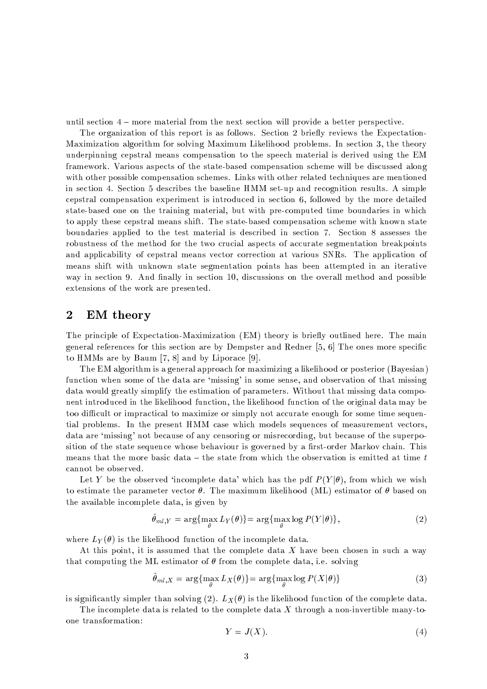until section 4 – more material from the next section will provide a better perspective.

The organization of this report is as follows. Section 2 briefly reviews the Expectation-Maximization algorithm for solving Maximum Likelihood problems. In section 3, the theory underpinning cepstral means compensation to the speech material is derived using the EM framework. Various aspects of the state-based compensation scheme will be discussed along with other possible compensation schemes. Links with other related techniques are mentioned in section 4. Section 5 describes the baseline HMM set-up and recognition results. A simple cepstral compensation experiment is introduced in section 6, followed by the more detailed state-based one on the training material, but with pre-computed time boundaries in which to apply these cepstral means shift. The state-based compensation scheme with known state boundaries applied to the test material is described in section 7. Section 8 assesses the robustness of the method for the two crucial aspects of accurate segmentation breakpoints and applicability of cepstral means vector correction at various SNRs. The application of means shift with unknown state segmentation points has been attempted in an iterative way in section 9. And finally in section 10, discussions on the overall method and possible extensions of the work are presented.

#### $\overline{2}$ **EM** theory

The principle of Expectation-Maximization (EM) theory is briefly outlined here. The main general references for this section are by Dempster and Redner  $[5, 6]$  The ones more specific to HMMs are by Baum  $[7, 8]$  and by Liporace  $[9]$ .

The EM algorithm is a general approach for maximizing a likelihood or posterior (Bayesian) function when some of the data are 'missing' in some sense, and observation of that missing data would greatly simplify the estimation of parameters. Without that missing data component introduced in the likelihood function, the likelihood function of the original data may be too difficult or impractical to maximize or simply not accurate enough for some time sequential problems. In the present HMM case which models sequences of measurement vectors, data are 'missing' not because of any censoring or misrecording, but because of the superposition of the state sequence whose behaviour is governed by a first-order Markov chain. This means that the more basic data – the state from which the observation is emitted at time  $t$ cannot be observed.

Let Y be the observed 'incomplete data' which has the pdf  $P(Y|\theta)$ , from which we wish to estimate the parameter vector  $\theta$ . The maximum likelihood (ML) estimator of  $\theta$  based on the available incomplete data, is given by

$$
\hat{\theta}_{ml,Y} = \arg\{\max_{\theta} L_Y(\theta)\} = \arg\{\max_{\theta} \log P(Y|\theta)\},\tag{2}
$$

where  $L_Y(\theta)$  is the likelihood function of the incomplete data.

At this point, it is assumed that the complete data X have been chosen in such a way that computing the ML estimator of  $\theta$  from the complete data, i.e. solving

$$
\theta_{ml,X} = \arg\{\max_{\theta} L_X(\theta)\} = \arg\{\max_{\theta} \log P(X|\theta)\}\tag{3}
$$

is significantly simpler than solving (2).  $L_X(\theta)$  is the likelihood function of the complete data.

The incomplete data is related to the complete data X through a non-invertible many-toone transformation:

$$
Y = J(X). \tag{4}
$$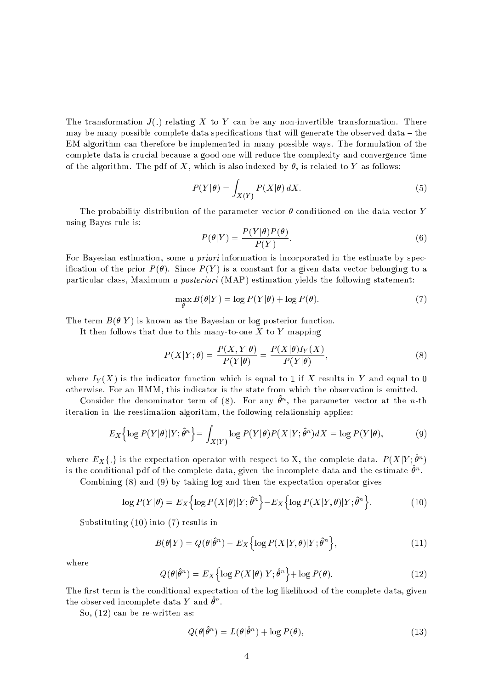The transformation  $J(.)$  relating X to Y can be any non-invertible transformation. There may be many possible complete data specifications that will generate the observed data – the EM algorithm can therefore be implemented in many possible ways. The formulation of the complete data is crucial because a good one will reduce the complexity and convergence time of the algorithm. The pdf of X, which is also indexed by  $\theta$ , is related to Y as follows:

$$
P(Y|\theta) = \int_{X(Y)} P(X|\theta) \, dX. \tag{5}
$$

The probability distribution of the parameter vector  $\theta$  conditioned on the data vector Y using Bayes rule is:

$$
P(\theta|Y) = \frac{P(Y|\theta)P(\theta)}{P(Y)}.
$$
\n(6)

For Bayesian estimation, some *a priori* information is incorporated in the estimate by specification of the prior  $P(\theta)$ . Since  $P(Y)$  is a constant for a given data vector belonging to a particular class, Maximum a posteriori (MAP) estimation yields the following statement:

$$
\max_{\theta} B(\theta|Y) = \log P(Y|\theta) + \log P(\theta). \tag{7}
$$

The term  $B(\theta|Y)$  is known as the Bayesian or log posterior function.

It then follows that due to this many-to-one  $X$  to  $Y$  mapping

$$
P(X|Y; \theta) = \frac{P(X,Y|\theta)}{P(Y|\theta)} = \frac{P(X|\theta)I_Y(X)}{P(Y|\theta)},
$$
\n(8)

where  $I_Y(X)$  is the indicator function which is equal to 1 if X results in Y and equal to 0 otherwise. For an HMM, this indicator is the state from which the observation is emitted.

Consider the denominator term of (8). For any  $\hat{\theta}^n$ , the parameter vector at the *n*-th iteration in the reestimation algorithm, the following relationship applies:

$$
E_X\left\{\log P(Y|\theta)|Y;\hat{\theta}^n\right\} = \int_{X(Y)} \log P(Y|\theta)P(X|Y;\hat{\theta}^n)dX = \log P(Y|\theta),\tag{9}
$$

where  $E_X\{.\}$  is the expectation operator with respect to X, the complete data.  $P(X|Y;\hat{\theta}^n)$ is the conditional pdf of the complete data, given the incomplete data and the estimate  $\hat{\theta}^n$ .

Combining  $(8)$  and  $(9)$  by taking log and then the expectation operator gives

$$
\log P(Y|\theta) = E_X \left\{ \log P(X|\theta) | Y; \hat{\theta}^n \right\} - E_X \left\{ \log P(X|Y,\theta) | Y; \hat{\theta}^n \right\}.
$$
 (10)

Substituting  $(10)$  into  $(7)$  results in

$$
B(\theta|Y) = Q(\theta|\hat{\theta}^n) - E_X\Big\{\log P(X|Y,\theta)|Y;\hat{\theta}^n\Big\},\tag{11}
$$

where

$$
Q(\theta|\hat{\theta}^n) = E_X \left\{ \log P(X|\theta) | Y; \hat{\theta}^n \right\} + \log P(\theta). \tag{12}
$$

The first term is the conditional expectation of the log likelihood of the complete data, given the observed incomplete data Y and  $\hat{\theta}^n$ .

So,  $(12)$  can be re-written as:

$$
Q(\theta|\hat{\theta}^n) = L(\theta|\hat{\theta}^n) + \log P(\theta),\tag{13}
$$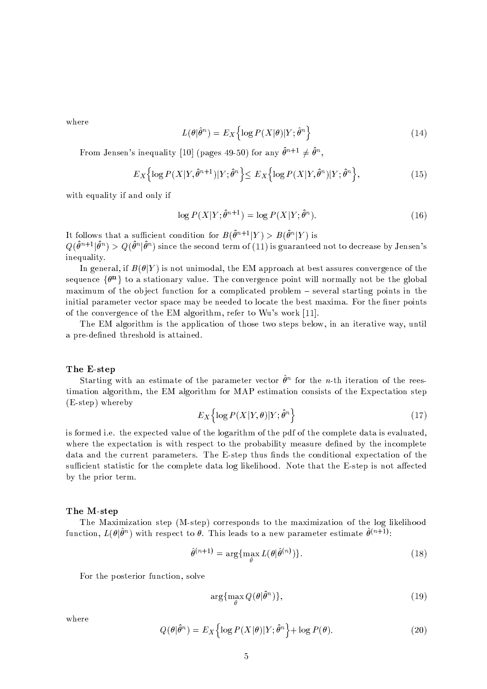where

$$
L(\theta|\hat{\theta}^n) = E_X \left\{ \log P(X|\theta) | Y; \hat{\theta}^n \right\} \tag{14}
$$

From Jensen's inequality [10] (pages 49-50) for any  $\hat{\theta}^{n+1} \neq \hat{\theta}^n$ ,

$$
E_X\Big\{\log P(X|Y,\hat{\theta}^{n+1})|Y;\hat{\theta}^n\Big\} \le E_X\Big\{\log P(X|Y,\hat{\theta}^n)|Y;\hat{\theta}^n\Big\},\tag{15}
$$

with equality if and only if

$$
\log P(X|Y; \hat{\theta}^{n+1}) = \log P(X|Y; \hat{\theta}^n). \tag{16}
$$

It follows that a sufficient condition for  $B(\hat{\theta}^{n+1}|Y) > B(\hat{\theta}^{n}|Y)$  is  $Q(\hat{\theta}^{n+1}|\hat{\theta}^n) > Q(\hat{\theta}^n|\hat{\theta}^n)$  since the second term of (11) is guaranteed not to decrease by Jensen's inequality.

In general, if  $B(\theta|Y)$  is not unimodal, the EM approach at best assures convergence of the sequence  $\{\theta^n\}$  to a stationary value. The convergence point will normally not be the global maximum of the object function for a complicated problem  $-$  several starting points in the initial parameter vector space may be needed to locate the best maxima. For the finer points of the convergence of the EM algorithm, refer to Wu's work [11].

The EM algorithm is the application of those two steps below, in an iterative way, until a pre-defined threshold is attained.

### The E-step

Starting with an estimate of the parameter vector  $\hat{\theta}^n$  for the *n*-th iteration of the reestimation algorithm, the EM algorithm for MAP estimation consists of the Expectation step  $(E\text{-step})$  whereby

$$
E_X\left\{\log P(X|Y,\theta)|Y;\hat{\theta}^n\right\}\tag{17}
$$

is formed i.e. the expected value of the logarithm of the pdf of the complete data is evaluated, where the expectation is with respect to the probability measure defined by the incomplete data and the current parameters. The E-step thus finds the conditional expectation of the sufficient statistic for the complete data log likelihood. Note that the E-step is not affected by the prior term.

### The M-step

The Maximization step (M-step) corresponds to the maximization of the log likelihood function,  $L(\theta|\hat{\theta}^n)$  with respect to  $\theta$ . This leads to a new parameter estimate  $\hat{\theta}^{(n+1)}$ :

$$
\hat{\theta}^{(n+1)} = \arg\{\max_{\theta} L(\theta|\hat{\theta}^{(n)})\}.
$$
\n(18)

For the posterior function, solve

$$
\arg\{\max_{\theta} Q(\theta|\hat{\theta}^n)\},\tag{19}
$$

where

$$
Q(\theta|\hat{\theta}^n) = E_X \Big\{ \log P(X|\theta)|Y; \hat{\theta}^n \Big\} + \log P(\theta). \tag{20}
$$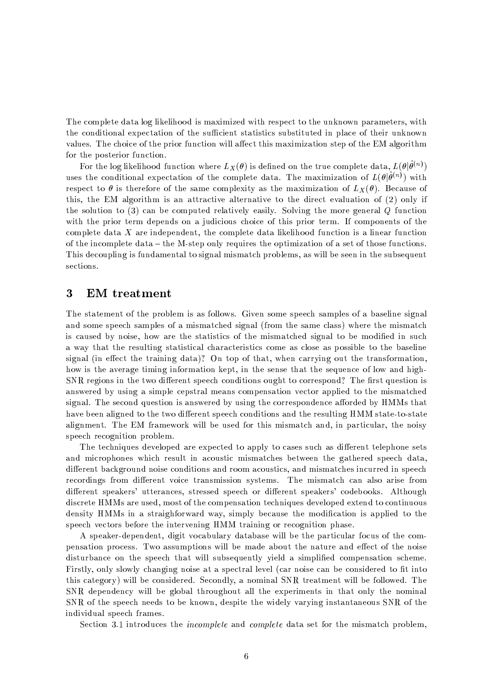The complete data log likelihood is maximized with respect to the unknown parameters, with the conditional expectation of the sufficient statistics substituted in place of their unknown values. The choice of the prior function will affect this maximization step of the EM algorithm for the posterior function.

For the log likelihood function where  $L_X(\theta)$  is defined on the true complete data,  $L(\theta|\hat{\theta}^{(n)})$ uses the conditional expectation of the complete data. The maximization of  $L(\theta|\hat{\theta}^{(n)})$  with respect to  $\theta$  is therefore of the same complexity as the maximization of  $L_X(\theta)$ . Because of this, the EM algorithm is an attractive alternative to the direct evaluation of  $(2)$  only if the solution to  $(3)$  can be computed relatively easily. Solving the more general Q function with the prior term depends on a judicious choice of this prior term. If components of the complete data  $X$  are independent, the complete data likelihood function is a linear function of the incomplete data – the M-step only requires the optimization of a set of those functions. This decoupling is fundamental to signal mismatch problems, as will be seen in the subsequent sections.

#### 3 **EM** treatment

The statement of the problem is as follows. Given some speech samples of a baseline signal and some speech samples of a mismatched signal (from the same class) where the mismatch is caused by noise, how are the statistics of the mismatched signal to be modified in such a way that the resulting statistical characteristics come as close as possible to the baseline signal (in effect the training data)? On top of that, when carrying out the transformation, how is the average timing information kept, in the sense that the sequence of low and high-SNR regions in the two different speech conditions ought to correspond? The first question is answered by using a simple cepstral means compensation vector applied to the mismatched signal. The second question is answered by using the correspondence afforded by HMMs that have been aligned to the two different speech conditions and the resulting HMM state-to-state alignment. The EM framework will be used for this mismatch and, in particular, the noisy speech recognition problem.

The techniques developed are expected to apply to cases such as different telephone sets and microphones which result in acoustic mismatches between the gathered speech data, different background noise conditions and room acoustics, and mismatches incurred in speech recordings from different voice transmission systems. The mismatch can also arise from different speakers' utterances, stressed speech or different speakers' codebooks. Although discrete HMMs are used, most of the compensation techniques developed extend to continuous density HMMs in a straighforward way, simply because the modification is applied to the speech vectors before the intervening HMM training or recognition phase.

A speaker-dependent, digit vocabulary database will be the particular focus of the compensation process. Two assumptions will be made about the nature and effect of the noise disturbance on the speech that will subsequently yield a simplified compensation scheme. Firstly, only slowly changing noise at a spectral level (car noise can be considered to fit into this category) will be considered. Secondly, a nominal SNR treatment will be followed. The SNR dependency will be global throughout all the experiments in that only the nominal SNR of the speech needs to be known, despite the widely varying instantaneous SNR of the individual speech frames.

Section 3.1 introduces the *incomplete* and *complete* data set for the mismatch problem,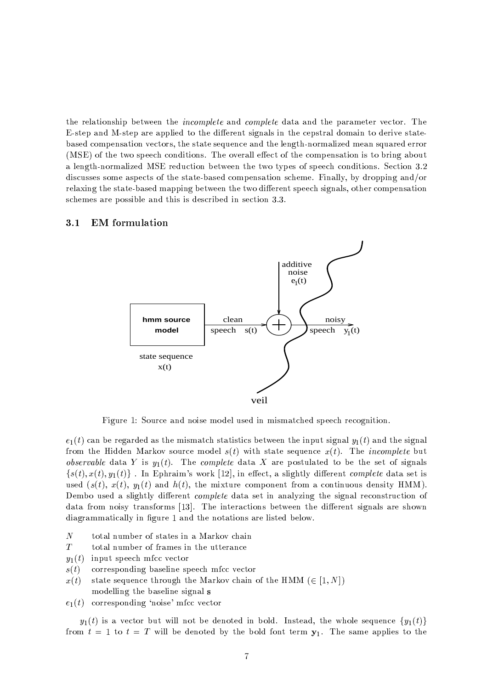the relationship between the *incomplete* and *complete* data and the parameter vector. The E-step and M-step are applied to the different signals in the cepstral domain to derive statebased compensation vectors, the state sequence and the length-normalized mean squared error (MSE) of the two speech conditions. The overall effect of the compensation is to bring about a length-normalized MSE reduction between the two types of speech conditions. Section 3.2 discusses some aspects of the state-based compensation scheme. Finally, by dropping and/or relaxing the state-based mapping between the two different speech signals, other compensation schemes are possible and this is described in section 3.3.

#### $3.1$ **EM** formulation



Figure 1: Source and noise model used in mismatched speech recognition.

 $e_1(t)$  can be regarded as the mismatch statistics between the input signal  $y_1(t)$  and the signal from the Hidden Markov source model  $s(t)$  with state sequence  $x(t)$ . The *incomplete* but *observable* data Y is  $y_1(t)$ . The *complete* data X are postulated to be the set of signals  $\{s(t), x(t), y_1(t)\}\$ . In Ephraim's work [12], in effect, a slightly different *complete* data set is used  $(s(t), x(t), y_1(t)$  and  $h(t)$ , the mixture component from a continuous density HMM). Dembo used a slightly different *complete* data set in analyzing the signal reconstruction of data from noisy transforms [13]. The interactions between the different signals are shown diagrammatically in figure 1 and the notations are listed below.

- $\overline{N}$ total number of states in a Markov chain
- $\boldsymbol{T}$ total number of frames in the utterance
- input speech mfcc vector  $y_1(t)$
- corresponding baseline speech mfcc vector  $s(t)$
- state sequence through the Markov chain of the HMM ( $\in [1, N]$ )  $x(t)$ modelling the baseline signal s
- $e_1(t)$  corresponding 'noise' mfcc vector

 $y_1(t)$  is a vector but will not be denoted in bold. Instead, the whole sequence  $\{y_1(t)\}$ from  $t = 1$  to  $t = T$  will be denoted by the bold font term  $y_1$ . The same applies to the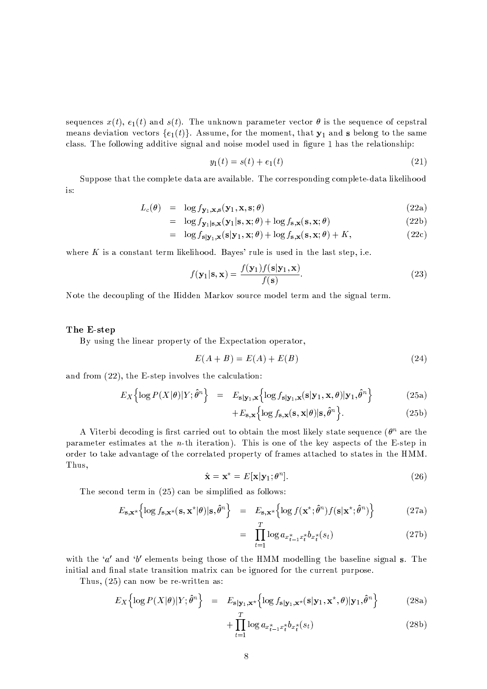sequences  $x(t)$ ,  $e_1(t)$  and  $s(t)$ . The unknown parameter vector  $\theta$  is the sequence of cepstral means deviation vectors  $\{e_1(t)\}\$ . Assume, for the moment, that  $\mathbf{y}_1$  and s belong to the same class. The following additive signal and noise model used in figure 1 has the relationship:

$$
y_1(t) = s(t) + e_1(t)
$$
\n(21)

Suppose that the complete data are available. The corresponding complete-data likelihood is:

$$
L_c(\theta) = \log f_{\mathbf{y}_1, \mathbf{x}, \mathbf{s}}(\mathbf{y}_1, \mathbf{x}, \mathbf{s}; \theta)
$$
\n(22a)

$$
= \log f_{\mathbf{y}_1|\mathbf{s},\mathbf{x}}(\mathbf{y}_1|\mathbf{s},\mathbf{x};\theta) + \log f_{\mathbf{s},\mathbf{x}}(\mathbf{s},\mathbf{x};\theta) \tag{22b}
$$

$$
= \log f_{\mathbf{s}|\mathbf{y}_1,\mathbf{x}}(\mathbf{s}|\mathbf{y}_1,\mathbf{x};\theta) + \log f_{\mathbf{s},\mathbf{x}}(\mathbf{s},\mathbf{x};\theta) + K,\tag{22c}
$$

where  $K$  is a constant term likelihood. Bayes' rule is used in the last step, i.e.

$$
f(\mathbf{y}_1|\mathbf{s}, \mathbf{x}) = \frac{f(\mathbf{y}_1)f(\mathbf{s}|\mathbf{y}_1, \mathbf{x})}{f(\mathbf{s})}.
$$
 (23)

Note the decoupling of the Hidden Markov source model term and the signal term.

### The E-step

By using the linear property of the Expectation operator,

$$
E(A + B) = E(A) + E(B)
$$
\n
$$
(24)
$$

and from  $(22)$ , the E-step involves the calculation:

$$
E_X\left\{\log P(X|\theta)|Y;\hat{\theta}^n\right\} = E_{\mathbf{s}|\mathbf{y}_1,\mathbf{x}}\left\{\log f_{\mathbf{s}|\mathbf{y}_1,\mathbf{x}}(\mathbf{s}|\mathbf{y}_1,\mathbf{x},\theta)|\mathbf{y}_1,\hat{\theta}^n\right\}
$$
(25a)

$$
+E_{\mathbf{s},\mathbf{x}}\Big{\log f_{\mathbf{s},\mathbf{x}}(\mathbf{s},\mathbf{x}|\theta)|\mathbf{s},\hat{\theta}^n\Big}.
$$
 (25b)

A Viterbi decoding is first carried out to obtain the most likely state sequence ( $\theta^n$  are the parameter estimates at the *n*-th iteration). This is one of the key aspects of the E-step in order to take advantage of the correlated property of frames attached to states in the HMM. Thus,

$$
\hat{\mathbf{x}} = \mathbf{x}^{\star} = E[\mathbf{x}|\mathbf{y}_1; \theta^n]. \tag{26}
$$

The second term in  $(25)$  can be simplified as follows:

$$
E_{\mathbf{s},\mathbf{x}^*} \left\{ \log f_{\mathbf{s},\mathbf{x}^*}(\mathbf{s},\mathbf{x}^*|\boldsymbol{\theta})|\mathbf{s},\hat{\boldsymbol{\theta}}^n \right\} = E_{\mathbf{s},\mathbf{x}^*} \left\{ \log f(\mathbf{x}^*;\hat{\boldsymbol{\theta}}^n)f(\mathbf{s}|\mathbf{x}^*;\hat{\boldsymbol{\theta}}^n) \right\}
$$
(27a)

$$
= \prod_{t=1}^{I} \log a_{x_{t-1}^* x_t^*} b_{x_t^*}(s_t)
$$
 (27b)

with the 'a' and 'b' elements being those of the HMM modelling the baseline signal s. The initial and final state transition matrix can be ignored for the current purpose.

Thus,  $(25)$  can now be re-written as:

$$
E_X\left\{\log P(X|\theta)|Y;\hat{\theta}^n\right\} = E_{\mathbf{s}|\mathbf{y}_1,\mathbf{x}^*}\left\{\log f_{\mathbf{s}|\mathbf{y}_1,\mathbf{x}^*}(\mathbf{s}|\mathbf{y}_1,\mathbf{x}^*,\theta)|\mathbf{y}_1,\hat{\theta}^n\right\} \tag{28a}
$$

$$
+\prod_{t=1}^{\cdot}\log a_{x_{t-1}^*x_t^*}b_{x_t^*}(s_t)\tag{28b}
$$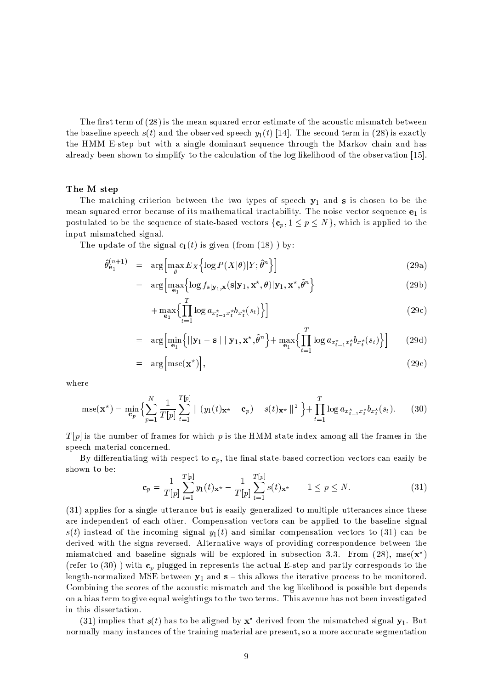The first term of (28) is the mean squared error estimate of the acoustic mismatch between the baseline speech  $s(t)$  and the observed speech  $y_1(t)$  [14]. The second term in (28) is exactly the HMM E-step but with a single dominant sequence through the Markov chain and has already been shown to simplify to the calculation of the log likelihood of the observation [15].

### The M step

The matching criterion between the two types of speech  $y_1$  and s is chosen to be the mean squared error because of its mathematical tractability. The noise vector sequence  $e_1$  is postulated to be the sequence of state-based vectors  $\{c_p, 1 \le p \le N\}$ , which is applied to the input mismatched signal.

The update of the signal  $e_1(t)$  is given (from (18)) by:

$$
\hat{\theta}_{\mathbf{e}_1}^{(n+1)} = \arg \left[ \max_{\theta} E_X \left\{ \log P(X|\theta) | Y; \hat{\theta}^n \right\} \right]
$$
\n(29a)

$$
= \arg \left[ \max_{\mathbf{e}_1} \left\{ \log f_{\mathbf{s}|\mathbf{y}_1, \mathbf{x}}(\mathbf{s}|\mathbf{y}_1, \mathbf{x}^*, \theta) | \mathbf{y}_1, \mathbf{x}^*, \hat{\theta}^n \right\} \right]
$$
(29b)

$$
+\max_{\mathbf{e}_1} \left\{ \prod_{t=1}^t \log a_{x_{t-1}^* x_t^*} b_{x_t^*} (s_t) \right\} \right] \tag{29c}
$$

$$
= \arg\left[\min_{\mathbf{e}_1}\left\{||\mathbf{y}_1 - \mathbf{s}|| \mid \mathbf{y}_1, \mathbf{x}^{\star}, \hat{\theta}^n\right\} + \max_{\mathbf{e}_1}\left\{\prod_{t=1}^T \log a_{x_{t-1}^{\star}x_t^{\star}}b_{x_t^{\star}}(s_t)\right\}\right] \tag{29d}
$$

$$
= \arg \left[ \text{mse}(\mathbf{x}^{\star}) \right], \tag{29e}
$$

where

$$
\text{mse}(\mathbf{x}^*) = \min_{\mathbf{c}_p} \left\{ \sum_{p=1}^N \frac{1}{T[p]} \sum_{t=1}^{T[p]} \parallel (y_1(t)_{\mathbf{x}^*} - \mathbf{c}_p) - s(t)_{\mathbf{x}^*} \parallel^2 \right\} + \prod_{t=1}^T \log a_{x_{t-1}^* x_t^*} b_{x_t^*}(s_t). \tag{30}
$$

 $T[p]$  is the number of frames for which p is the HMM state index among all the frames in the speech material concerned.

By differentiating with respect to  $c_p$ , the final state-based correction vectors can easily be shown to be:

$$
\mathbf{c}_{p} = \frac{1}{T[p]} \sum_{t=1}^{T[p]} y_{1}(t) \mathbf{x}^{*} - \frac{1}{T[p]} \sum_{t=1}^{T[p]} s(t) \mathbf{x}^{*} \qquad 1 \le p \le N. \tag{31}
$$

(31) applies for a single utterance but is easily generalized to multiple utterances since these are independent of each other. Compensation vectors can be applied to the baseline signal  $s(t)$  instead of the incoming signal  $y_1(t)$  and similar compensation vectors to (31) can be derived with the signs reversed. Alternative ways of providing correspondence between the mismatched and baseline signals will be explored in subsection 3.3. From (28), mse( $\mathbf{x}^*$ ) (refer to (30)) with  $\mathbf{c}_p$  plugged in represents the actual E-step and partly corresponds to the length-normalized MSE between  $y_1$  and  $s$  – this allows the iterative process to be monitored. Combining the scores of the acoustic mismatch and the log likelihood is possible but depends on a bias term to give equal weightings to the two terms. This avenue has not been investigated in this dissertation.

(31) implies that  $s(t)$  has to be aligned by  $x^*$  derived from the mismatched signal  $y_1$ . But normally many instances of the training material are present, so a more accurate segmentation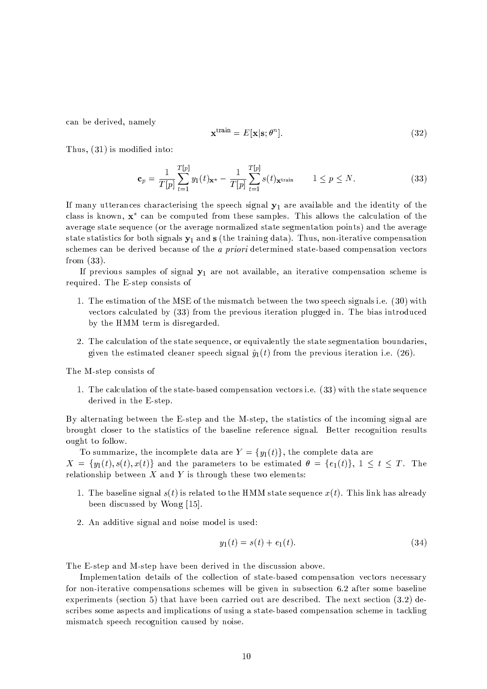can be derived, namely

$$
\mathbf{x}^{\text{train}} = E[\mathbf{x}|\mathbf{s}; \theta^n]. \tag{32}
$$

Thus,  $(31)$  is modified into:

$$
\mathbf{c}_p = \frac{1}{T[p]} \sum_{t=1}^{T[p]} y_1(t) \mathbf{x}^* - \frac{1}{T[p]} \sum_{t=1}^{T[p]} s(t) \mathbf{x}^{\text{train}} \qquad 1 \le p \le N. \tag{33}
$$

If many utterances characterising the speech signal  $y_1$  are available and the identity of the class is known,  $x^*$  can be computed from these samples. This allows the calculation of the average state sequence (or the average normalized state segmentation points) and the average state statistics for both signals  $y_1$  and  $s$  (the training data). Thus, non-iterative compensation schemes can be derived because of the *a priori* determined state-based compensation vectors from  $(33)$ .

If previous samples of signal  $y_1$  are not available, an iterative compensation scheme is required. The E-step consists of

- 1. The estimation of the MSE of the mismatch between the two speech signals i.e. (30) with vectors calculated by (33) from the previous iteration plugged in. The bias introduced by the HMM term is disregarded.
- 2. The calculation of the state sequence, or equivalently the state segmentation boundaries, given the estimated cleaner speech signal  $\hat{y}_1(t)$  from the previous iteration i.e. (26).

The M-step consists of

1. The calculation of the state-based compensation vectors i.e. (33) with the state sequence derived in the E-step.

By alternating between the E-step and the M-step, the statistics of the incoming signal are brought closer to the statistics of the baseline reference signal. Better recognition results ought to follow.

To summarize, the incomplete data are  $Y = \{y_1(t)\}\,$ , the complete data are  $X = \{y_1(t), s(t), x(t)\}\$ and the parameters to be estimated  $\theta = \{e_1(t)\}\$ ,  $1 \le t \le T$ . The relationship between  $X$  and  $Y$  is through these two elements:

- 1. The baseline signal  $s(t)$  is related to the HMM state sequence  $x(t)$ . This link has already been discussed by Wong [15].
- 2. An additive signal and noise model is used:

$$
y_1(t) = s(t) + e_1(t). \tag{34}
$$

The E-step and M-step have been derived in the discussion above.

Implementation details of the collection of state-based compensation vectors necessary for non-iterative compensations schemes will be given in subsection 6.2 after some baseline experiments (section 5) that have been carried out are described. The next section  $(3.2)$  describes some aspects and implications of using a state-based compensation scheme in tackling mismatch speech recognition caused by noise.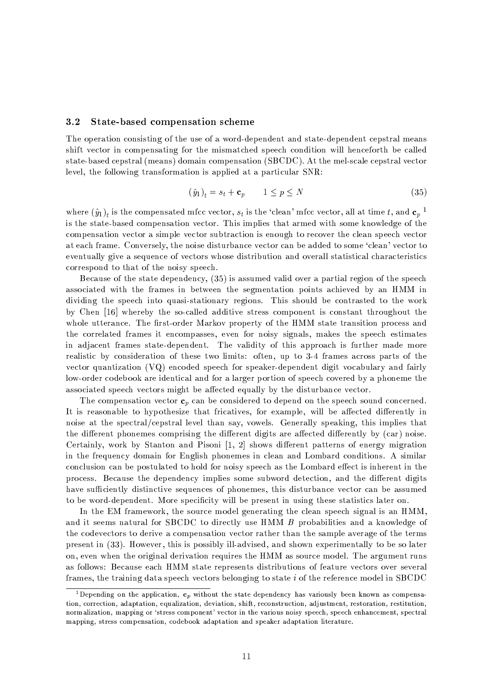#### $3.2$ State-based compensation scheme

The operation consisting of the use of a word-dependent and state-dependent cepstral means shift vector in compensating for the mismatched speech condition will henceforth be called state-based cepstral (means) domain compensation (SBCDC). At the mel-scale cepstral vector level, the following transformation is applied at a particular SNR:

$$
(\hat{y}_1)_t = s_t + \mathbf{c}_p \qquad 1 \le p \le N \tag{35}
$$

where  $(\hat{y}_1)_t$  is the compensated mfcc vector,  $s_t$  is the 'clean' mfcc vector, all at time t, and  $\mathbf{c}_p$ <sup>1</sup> is the state-based compensation vector. This implies that armed with some knowledge of the compensation vector a simple vector subtraction is enough to recover the clean speech vector at each frame. Conversely, the noise disturbance vector can be added to some 'clean' vector to eventually give a sequence of vectors whose distribution and overall statistical characteristics correspond to that of the noisy speech.

Because of the state dependency, (35) is assumed valid over a partial region of the speech associated with the frames in between the segmentation points achieved by an HMM in dividing the speech into quasi-stationary regions. This should be contrasted to the work by Chen [16] whereby the so-called additive stress component is constant throughout the whole utterance. The first-order Markov property of the HMM state transition process and the correlated frames it encompasses, even for noisy signals, makes the speech estimates in adjacent frames state-dependent. The validity of this approach is further made more realistic by consideration of these two limits: often, up to 3-4 frames across parts of the vector quantization (VQ) encoded speech for speaker-dependent digit vocabulary and fairly low-order codebook are identical and for a larger portion of speech covered by a phoneme the associated speech vectors might be affected equally by the disturbance vector.

The compensation vector  $c_n$  can be considered to depend on the speech sound concerned. It is reasonable to hypothesize that fricatives, for example, will be affected differently in noise at the spectral/cepstral level than say, vowels. Generally speaking, this implies that the different phonemes comprising the different digits are affected differently by (car) noise. Certainly, work by Stanton and Pisoni [1, 2] shows different patterns of energy migration in the frequency domain for English phonemes in clean and Lombard conditions. A similar conclusion can be postulated to hold for noisy speech as the Lombard effect is inherent in the process. Because the dependency implies some subword detection, and the different digits have sufficiently distinctive sequences of phonemes, this disturbance vector can be assumed to be word-dependent. More specificity will be present in using these statistics later on.

In the EM framework, the source model generating the clean speech signal is an HMM, and it seems natural for SBCDC to directly use HMM B probabilities and a knowledge of the codevectors to derive a compensation vector rather than the sample average of the terms present in (33). However, this is possibly ill-advised, and shown experimentally to be so later on, even when the original derivation requires the HMM as source model. The argument runs as follows: Because each HMM state represents distributions of feature vectors over several frames, the training data speech vectors belonging to state *i* of the reference model in SBCDC

<sup>&</sup>lt;sup>1</sup>Depending on the application,  $c_p$  without the state dependency has variously been known as compensation, correction, adaptation, equalization, deviation, shift, reconstruction, adjustment, restoration, restitution, normalization, mapping or 'stress component' vector in the various noisy speech, speech enhancement, spectral mapping, stress compensation, codebook adaptation and speaker adaptation literature.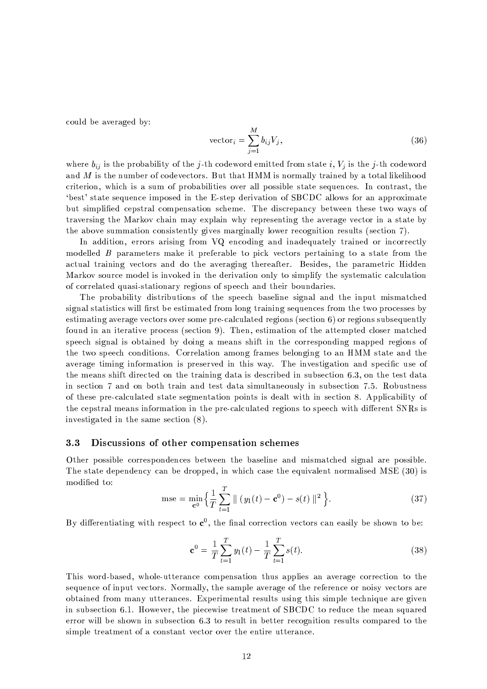could be averaged by:

$$
\text{vector}_{i} = \sum_{j=1}^{M} b_{ij} V_j,\tag{36}
$$

where  $b_{ij}$  is the probability of the j-th codeword emitted from state i,  $V_i$  is the j-th codeword and M is the number of codevectors. But that HMM is normally trained by a total likelihood criterion, which is a sum of probabilities over all possible state sequences. In contrast, the 'best' state sequence imposed in the E-step derivation of SBCDC allows for an approximate but simplified cepstral compensation scheme. The discrepancy between these two ways of traversing the Markov chain may explain why representing the average vector in a state by the above summation consistently gives marginally lower recognition results (section 7).

In addition, errors arising from VQ encoding and inadequately trained or incorrectly modelled B parameters make it preferable to pick vectors pertaining to a state from the actual training vectors and do the averaging thereafter. Besides, the parametric Hidden Markov source model is invoked in the derivation only to simplify the systematic calculation of correlated quasi-stationary regions of speech and their boundaries.

The probability distributions of the speech baseline signal and the input mismatched signal statistics will first be estimated from long training sequences from the two processes by estimating average vectors over some pre-calculated regions (section 6) or regions subsequently found in an iterative process (section 9). Then, estimation of the attempted closer matched speech signal is obtained by doing a means shift in the corresponding mapped regions of the two speech conditions. Correlation among frames belonging to an HMM state and the average timing information is preserved in this way. The investigation and specific use of the means shift directed on the training data is described in subsection 6.3, on the test data in section 7 and on both train and test data simultaneously in subsection 7.5. Robustness of these pre-calculated state segmentation points is dealt with in section 8. Applicability of the cepstral means information in the pre-calculated regions to speech with different SNRs is investigated in the same section (8).

#### 3.3 Discussions of other compensation schemes

Other possible correspondences between the baseline and mismatched signal are possible. The state dependency can be dropped, in which case the equivalent normalised MSE (30) is modified to:

$$
\text{mse} = \min_{\mathbf{c}^0} \left\{ \frac{1}{T} \sum_{t=1}^T || (y_1(t) - \mathbf{c}^0) - s(t) ||^2 \right\}.
$$
 (37)

By differentiating with respect to  $c^0$ , the final correction vectors can easily be shown to be:

$$
\mathbf{c}^0 = \frac{1}{T} \sum_{t=1}^T y_1(t) - \frac{1}{T} \sum_{t=1}^T s(t).
$$
 (38)

This word-based, whole-utterance compensation thus applies an average correction to the sequence of input vectors. Normally, the sample average of the reference or noisy vectors are obtained from many utterances. Experimental results using this simple technique are given in subsection 6.1. However, the piecewise treatment of SBCDC to reduce the mean squared error will be shown in subsection 6.3 to result in better recognition results compared to the simple treatment of a constant vector over the entire utterance.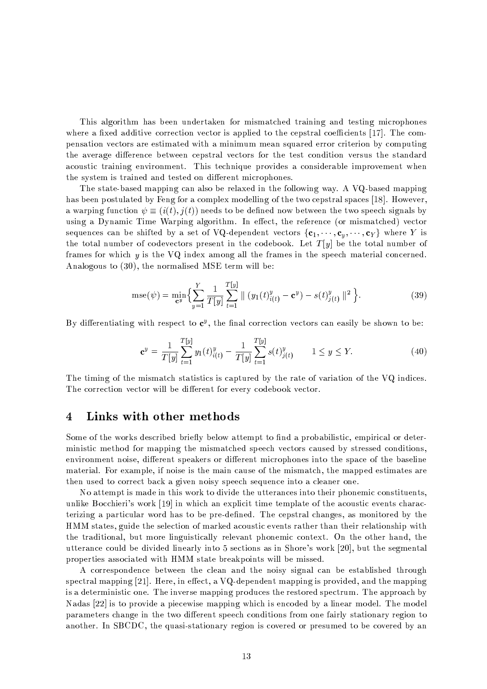This algorithm has been undertaken for mismatched training and testing microphones where a fixed additive correction vector is applied to the cepstral coefficients  $[17]$ . The compensation vectors are estimated with a minimum mean squared error criterion by computing the average difference between cepstral vectors for the test condition versus the standard acoustic training environment. This technique provides a considerable improvement when the system is trained and tested on different microphones.

The state-based mapping can also be relaxed in the following way. A VQ-based mapping has been postulated by Feng for a complex modelling of the two cepstral spaces [18]. However, a warping function  $\psi \equiv (i(t), j(t))$  needs to be defined now between the two speech signals by using a Dynamic Time Warping algorithm. In effect, the reference (or mismatched) vector sequences can be shifted by a set of VQ-dependent vectors  $\{c_1, \dots, c_v, \dots, c_Y\}$  where Y is the total number of codevectors present in the codebook. Let  $T[y]$  be the total number of frames for which y is the VQ index among all the frames in the speech material concerned. Analogous to (30), the normalised MSE term will be:

$$
\text{mse}(\psi) = \min_{\mathbf{c}^y} \left\{ \sum_{y=1}^Y \frac{1}{T[y]} \sum_{t=1}^{T[y]} \parallel (y_1(t)_{i(t)}^y - \mathbf{c}^y) - s(t)_{j(t)}^y \parallel^2 \right\}.
$$
 (39)

By differentiating with respect to  $c^y$ , the final correction vectors can easily be shown to be:

$$
\mathbf{c}^y = \frac{1}{T[y]} \sum_{t=1}^{T[y]} y_1(t)_{i(t)}^y - \frac{1}{T[y]} \sum_{t=1}^{T[y]} s(t)_{j(t)}^y \qquad 1 \le y \le Y. \tag{40}
$$

The timing of the mismatch statistics is captured by the rate of variation of the VQ indices. The correction vector will be different for every codebook vector.

#### $\overline{4}$ Links with other methods

Some of the works described briefly below attempt to find a probabilistic, empirical or deterministic method for mapping the mismatched speech vectors caused by stressed conditions, environment noise, different speakers or different microphones into the space of the baseline material. For example, if noise is the main cause of the mismatch, the mapped estimates are then used to correct back a given noisy speech sequence into a cleaner one.

No attempt is made in this work to divide the utterances into their phonemic constituents, unlike Bocchieri's work [19] in which an explicit time template of the acoustic events characterizing a particular word has to be pre-defined. The cepstral changes, as monitored by the HMM states, guide the selection of marked acoustic events rather than their relationship with the traditional, but more linguistically relevant phonemic context. On the other hand, the utterance could be divided linearly into 5 sections as in Shore's work [20], but the segmental properties associated with HMM state breakpoints will be missed.

A correspondence between the clean and the noisy signal can be established through spectral mapping [21]. Here, in effect, a  $VQ$ -dependent mapping is provided, and the mapping is a deterministic one. The inverse mapping produces the restored spectrum. The approach by Nadas [22] is to provide a piecewise mapping which is encoded by a linear model. The model parameters change in the two different speech conditions from one fairly stationary region to another. In SBCDC, the quasi-stationary region is covered or presumed to be covered by an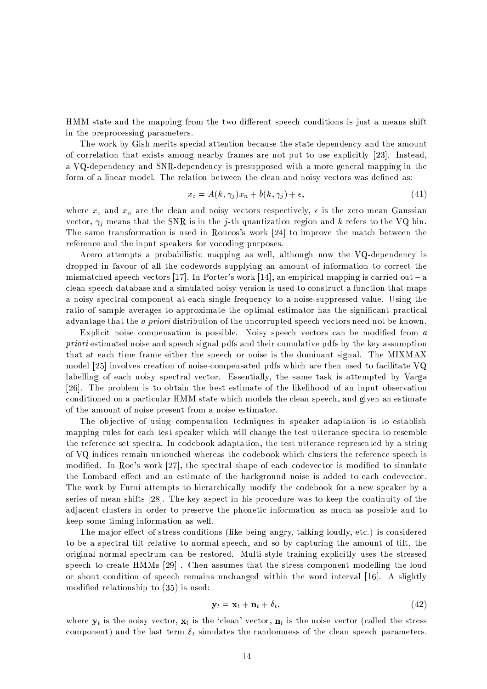HMM state and the mapping from the two different speech conditions is just a means shift in the preprocessing parameters.

The work by Gish merits special attention because the state dependency and the amount of correlation that exists among nearby frames are not put to use explicitly [23]. Instead, a VQ-dependency and SNR-dependency is presupposed with a more general mapping in the form of a linear model. The relation between the clean and noisy vectors was defined as:

$$
x_c = A(k, \gamma_j)x_n + b(k, \gamma_j) + \epsilon,\tag{41}
$$

where  $x_c$  and  $x_n$  are the clean and noisy vectors respectively,  $\epsilon$  is the zero mean Gaussian vector,  $\gamma_i$  means that the SNR is in the j-th quantization region and k refers to the VQ bin. The same transformation is used in Roucos's work [24] to improve the match between the reference and the input speakers for vocoding purposes.

Acero attempts a probabilistic mapping as well, although now the VQ-dependency is dropped in favour of all the codewords supplying an amount of information to correct the mismatched speech vectors [17]. In Porter's work [14], an empirical mapping is carried out  $-a$ clean speech database and a simulated noisy version is used to construct a function that maps a noisy spectral component at each single frequency to a noise-suppressed value. Using the ratio of sample averages to approximate the optimal estimator has the significant practical advantage that the *a priori* distribution of the uncorrupted speech vectors need not be known.

Explicit noise compensation is possible. Noisy speech vectors can be modified from a *priori* estimated noise and speech signal pdfs and their cumulative pdfs by the key assumption that at each time frame either the speech or noise is the dominant signal. The MIXMAX model [25] involves creation of noise-compensated pdfs which are then used to facilitate VQ labelling of each noisy spectral vector. Essentially, the same task is attempted by Varga [26]. The problem is to obtain the best estimate of the likelihood of an input observation conditioned on a particular HMM state which models the clean speech, and given an estimate of the amount of noise present from a noise estimator.

The objective of using compensation techniques in speaker adaptation is to establish mapping rules for each test speaker which will change the test utterance spectra to resemble the reference set spectra. In codebook adaptation, the test utterance represented by a string of VQ indices remain untouched whereas the codebook which clusters the reference speech is modified. In Roe's work [27], the spectral shape of each codevector is modified to simulate the Lombard effect and an estimate of the background noise is added to each codevector. The work by Furui attempts to hierarchically modify the codebook for a new speaker by a series of mean shifts [28]. The key aspect in his procedure was to keep the continuity of the adjacent clusters in order to preserve the phonetic information as much as possible and to keep some timing information as well.

The major effect of stress conditions (like being angry, talking loudly, etc.) is considered to be a spectral tilt relative to normal speech, and so by capturing the amount of tilt, the original normal spectrum can be restored. Multi-style training explicitly uses the stressed speech to create HMMs [29]. Chen assumes that the stress component modelling the loud or shout condition of speech remains unchanged within the word interval [16]. A slightly modified relationship to  $(35)$  is used:

$$
\mathbf{y}_t = \mathbf{x}_t + \mathbf{n}_t + \delta_t,\tag{42}
$$

where  $y_t$  is the noisy vector,  $x_t$  is the 'clean' vector,  $n_t$  is the noise vector (called the stress component) and the last term  $\delta_t$  simulates the randomness of the clean speech parameters.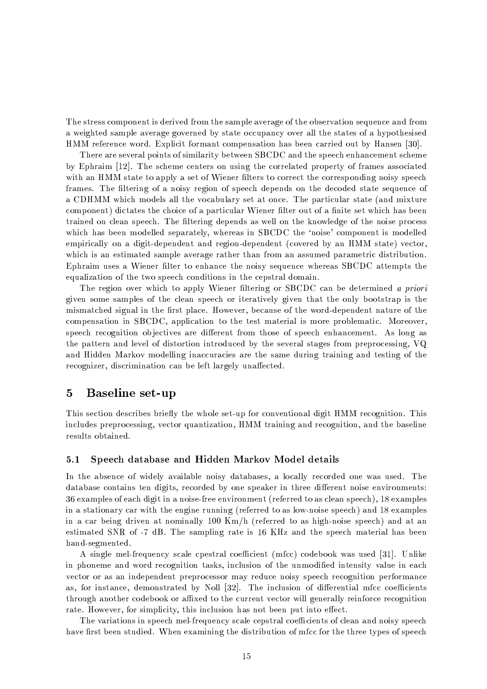The stress component is derived from the sample average of the observation sequence and from a weighted sample average governed by state occupancy over all the states of a hypothesised HMM reference word. Explicit formant compensation has been carried out by Hansen [30].

There are several points of similarity between SBCDC and the speech enhancement scheme by Ephraim [12]. The scheme centers on using the correlated property of frames associated with an HMM state to apply a set of Wiener filters to correct the corresponding noisy speech frames. The filtering of a noisy region of speech depends on the decoded state sequence of a CDHMM which models all the vocabulary set at once. The particular state (and mixture component) dictates the choice of a particular Wiener filter out of a finite set which has been trained on clean speech. The filtering depends as well on the knowledge of the noise process which has been modelled separately, whereas in SBCDC the 'noise' component is modelled empirically on a digit-dependent and region-dependent (covered by an HMM state) vector, which is an estimated sample average rather than from an assumed parametric distribution. Ephraim uses a Wiener filter to enhance the noisy sequence whereas SBCDC attempts the equalization of the two speech conditions in the cepstral domain.

The region over which to apply Wiener filtering or SBCDC can be determined a priori given some samples of the clean speech or iteratively given that the only bootstrap is the mismatched signal in the first place. However, because of the word-dependent nature of the compensation in SBCDC, application to the test material is more problematic. Moreover, speech recognition objectives are different from those of speech enhancement. As long as the pattern and level of distortion introduced by the several stages from preprocessing, VQ and Hidden Markov modelling inaccuracies are the same during training and testing of the recognizer, discrimination can be left largely unaffected.

#### $\overline{5}$ Baseline set-up

This section describes briefly the whole set-up for conventional digit HMM recognition. This includes preprocessing, vector quantization, HMM training and recognition, and the baseline results obtained.

#### $5.1$ Speech database and Hidden Markov Model details

In the absence of widely available noisy databases, a locally recorded one was used. The database contains ten digits, recorded by one speaker in three different noise environments: 36 examples of each digit in a noise-free environment (referred to as clean speech), 18 examples in a stationary car with the engine running (referred to as low-noise speech) and 18 examples in a car being driven at nominally 100  $\text{Km}/\text{h}$  (referred to as high-noise speech) and at an estimated SNR of -7 dB. The sampling rate is 16 KHz and the speech material has been hand-segmented.

A single mel-frequency scale cpestral coefficient (mfcc) codebook was used [31]. Unlike in phoneme and word recognition tasks, inclusion of the unmodified intensity value in each vector or as an independent preprocessor may reduce noisy speech recognition performance as, for instance, demonstrated by Noll [32]. The inclusion of differential mfcc coefficients through another codebook or affixed to the current vector will generally reinforce recognition rate. However, for simplicity, this inclusion has not been put into effect.

The variations in speech mel-frequency scale cepstral coefficients of clean and noisy speech have first been studied. When examining the distribution of mfcc for the three types of speech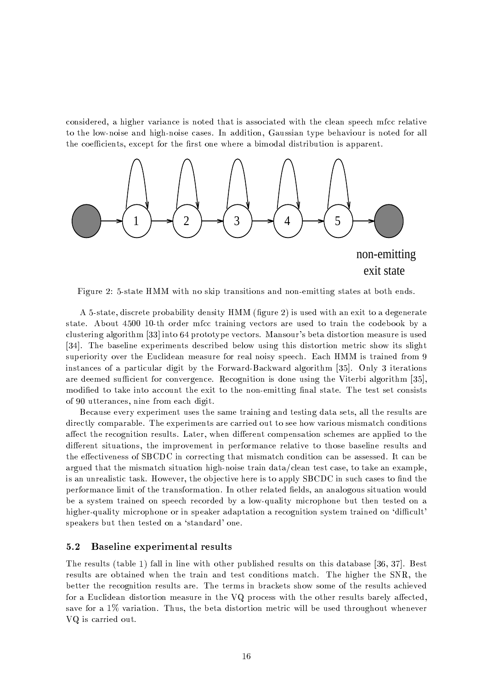considered, a higher variance is noted that is associated with the clean speech mfcc relative to the low-noise and high-noise cases. In addition, Gaussian type behaviour is noted for all the coefficients, except for the first one where a bimodal distribution is apparent.



Figure 2: 5-state HMM with no skip transitions and non-emitting states at both ends.

A 5-state, discrete probability density HMM (figure 2) is used with an exit to a degenerate state. About 4500 10-th order mfcc training vectors are used to train the codebook by a clustering algorithm [33] into 64 prototype vectors. Mansour's beta distortion measure is used [34]. The baseline experiments described below using this distortion metric show its slight superiority over the Euclidean measure for real noisy speech. Each HMM is trained from 9 instances of a particular digit by the Forward-Backward algorithm [35]. Only 3 iterations are deemed sufficient for convergence. Recognition is done using the Viterbi algorithm [35], modified to take into account the exit to the non-emitting final state. The test set consists of 90 utterances, nine from each digit.

Because every experiment uses the same training and testing data sets, all the results are directly comparable. The experiments are carried out to see how various mismatch conditions affect the recognition results. Later, when different compensation schemes are applied to the different situations, the improvement in performance relative to those baseline results and the effectiveness of SBCDC in correcting that mismatch condition can be assessed. It can be argued that the mismatch situation high-noise train data/clean test case, to take an example, is an unrealistic task. However, the objective here is to apply SBCDC in such cases to find the performance limit of the transformation. In other related fields, an analogous situation would be a system trained on speech recorded by a low-quality microphone but then tested on a higher-quality microphone or in speaker adaptation a recognition system trained on 'difficult' speakers but then tested on a 'standard' one.

#### **Baseline experimental results**  $5.2$

The results (table 1) fall in line with other published results on this database [36, 37]. Best results are obtained when the train and test conditions match. The higher the SNR, the better the recognition results are. The terms in brackets show some of the results achieved for a Euclidean distortion measure in the VQ process with the other results barely affected, save for a 1% variation. Thus, the beta distortion metric will be used throughout whenever VQ is carried out.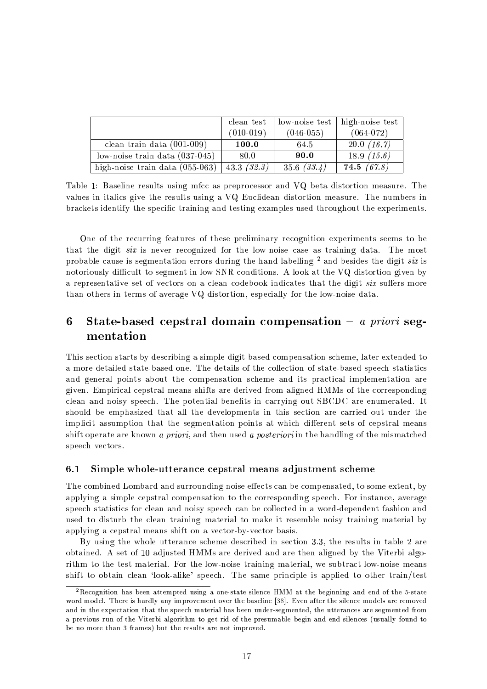|                                   | clean test  | $\frac{1}{2}$ low-noise test | high-noise test |
|-----------------------------------|-------------|------------------------------|-----------------|
|                                   | $(010-019)$ | $(046-055)$                  | $(064-072)$     |
| clean train data $(001-009)$      | 100.0       | 64.5                         | 20.0(16.7)      |
| low-noise train data $(037-045)$  | 80.0        | 90.0                         | 18.9 $(15.6)$   |
| high-noise train data $(055-063)$ | 43.3(32.3)  | 35.6(33.4)                   | 74.5(67.8)      |

Table 1: Baseline results using mfcc as preprocessor and VQ beta distortion measure. The values in italics give the results using a VQ Euclidean distortion measure. The numbers in brackets identify the specific training and testing examples used throughout the experiments.

One of the recurring features of these preliminary recognition experiments seems to be that the digit *six* is never recognized for the low-noise case as training data. The most probable cause is segmentation errors during the hand labelling  $^2$  and besides the digit six is notoriously difficult to segment in low SNR conditions. A look at the VQ distortion given by a representative set of vectors on a clean codebook indicates that the digit six suffers more than others in terms of average VQ distortion, especially for the low-noise data.

### 6 State-based cepstral domain compensation  $-$  a priori segmentation

This section starts by describing a simple digit-based compensation scheme, later extended to a more detailed state-based one. The details of the collection of state-based speech statistics and general points about the compensation scheme and its practical implementation are given. Empirical cepstral means shifts are derived from aligned HMMs of the corresponding clean and noisy speech. The potential benefits in carrying out SBCDC are enumerated. It should be emphasized that all the developments in this section are carried out under the implicit assumption that the segmentation points at which different sets of cepstral means shift operate are known a priori, and then used a posteriori in the handling of the mismatched speech vectors.

#### $6.1$ Simple whole-utterance cepstral means adjustment scheme

The combined Lombard and surrounding noise effects can be compensated, to some extent, by applying a simple cepstral compensation to the corresponding speech. For instance, average speech statistics for clean and noisy speech can be collected in a word-dependent fashion and used to disturb the clean training material to make it resemble noisy training material by applying a cepstral means shift on a vector-by-vector basis.

By using the whole utterance scheme described in section 3.3, the results in table 2 are obtained. A set of 10 adjusted HMMs are derived and are then aligned by the Viterbi algorithm to the test material. For the low-noise training material, we subtract low-noise means shift to obtain clean 'look-alike' speech. The same principle is applied to other train/test

<sup>&</sup>lt;sup>2</sup>Recognition has been attempted using a one-state silence HMM at the beginning and end of the 5-state word model. There is hardly any improvement over the baseline [38]. Even after the silence models are removed and in the expectation that the speech material has been under-segmented, the utterances are segmented from a previous run of the Viterbi algorithm to get rid of the presumable begin and end silences (usually found to be no more than 3 frames) but the results are not improved.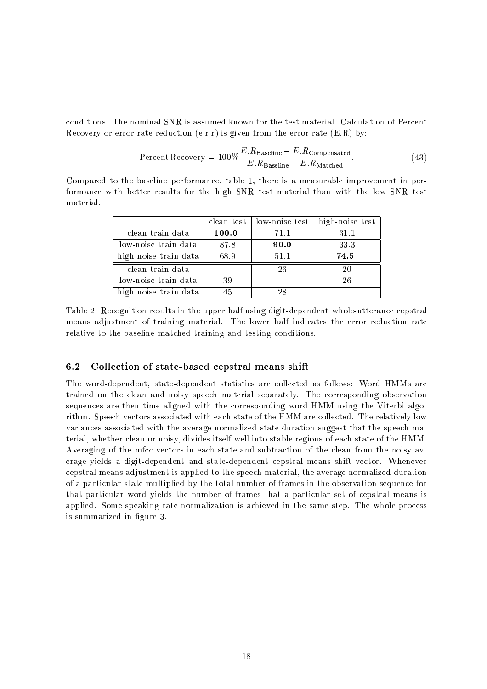conditions. The nominal SNR is assumed known for the test material. Calculation of Percent Recovery or error rate reduction  $(e.r.r)$  is given from the error rate  $(E.R)$  by:

$$
Percent Recovery = 100\% \frac{E.R_{\text{Baseline}} - E.R_{\text{Compen stated}}}{E.R_{\text{Baseline}} - E.R_{\text{Match}}}.\tag{43}
$$

Compared to the baseline performance, table 1, there is a measurable improvement in performance with better results for the high SNR test material than with the low SNR test material.

|                       |       | clean test   low-noise test | high-noise test |
|-----------------------|-------|-----------------------------|-----------------|
| clean train data      | 100.0 | 71.1                        | 31.1            |
| low-noise train data  | 87.8  | 90.0                        | 33.3            |
| high-noise train data | 68.9  | 51.1                        | 74.5            |
| clean train data      |       | 26                          | 20              |
| low-noise train data  | 39    |                             | 26              |
| high-noise train data | 45    | 28                          |                 |

Table 2: Recognition results in the upper half using digit-dependent whole-utterance cepstral means adjustment of training material. The lower half indicates the error reduction rate relative to the baseline matched training and testing conditions.

#### $6.2$ Collection of state-based cepstral means shift

The word-dependent, state-dependent statistics are collected as follows: Word HMMs are trained on the clean and noisy speech material separately. The corresponding observation sequences are then time-aligned with the corresponding word HMM using the Viterbi algorithm. Speech vectors associated with each state of the HMM are collected. The relatively low variances associated with the average normalized state duration suggest that the speech material, whether clean or noisy, divides itself well into stable regions of each state of the HMM. Averaging of the mfcc vectors in each state and subtraction of the clean from the noisy average yields a digit-dependent and state-dependent cepstral means shift vector. Whenever cepstral means adjustment is applied to the speech material, the average normalized duration of a particular state multiplied by the total number of frames in the observation sequence for that particular word yields the number of frames that a particular set of cepstral means is applied. Some speaking rate normalization is achieved in the same step. The whole process is summarized in figure 3.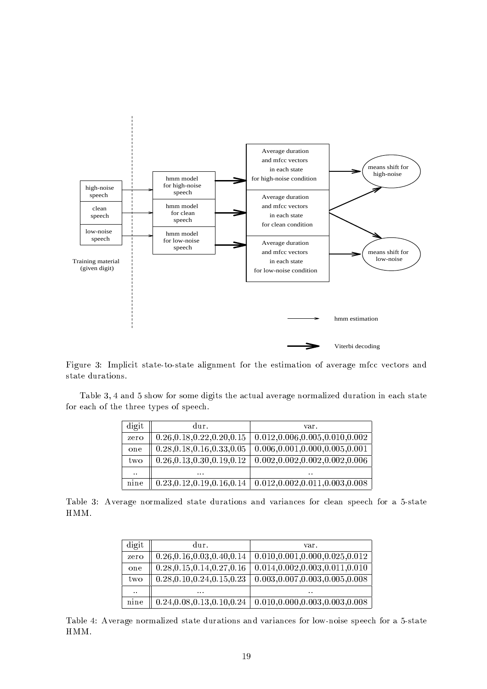

 $\blacksquare$ state durations.

 $\blacksquare$  and the swochung state of the swochung and the swochung state of the swochung state of the swochung state of the swochung state of the swochung state of the swochung state of the swochung state of the swochung stat for each of the three types of speech.

| digit     | dur.                         | var.                              |
|-----------|------------------------------|-----------------------------------|
| zero      | 0.26, 0.18, 0.22, 0.20, 0.15 | 0.012, 0.006, 0.005, 0.010, 0.002 |
| one       | 0.28, 0.18, 0.16, 0.33, 0.05 | 0.006, 0.001, 0.000, 0.005, 0.001 |
| two       | 0.26, 0.13, 0.30, 0.19, 0.12 | 0.002, 0.002, 0.002, 0.002, 0.006 |
| $\ddotsc$ | $\cdots$                     | $\ddot{\phantom{a}}$              |
| nine      | 0.23, 0.12, 0.19, 0.16, 0.14 | 0.012, 0.002, 0.011, 0.003, 0.008 |

 $\blacksquare$  the state of the state of the contract of the contract of the contract of the contract of the contract of the contract of the contract of the contract of the contract of the contract of the contract of the contract HMM.

| digit                | dur.                         | var.                              |
|----------------------|------------------------------|-----------------------------------|
| zero                 | 0.26, 0.16, 0.03, 0.40, 0.14 | 0.010, 0.001, 0.000, 0.025, 0.012 |
| one                  | 0.28, 0.15, 0.14, 0.27, 0.16 | 0.014, 0.002, 0.003, 0.011, 0.010 |
| two                  | 0.28, 0.10, 0.24, 0.15, 0.23 | 0.003, 0.007, 0.003, 0.005, 0.008 |
| $\ddot{\phantom{a}}$ | $\cdots$                     | $\cdot$ .                         |
| nine                 | 0.24, 0.08, 0.13, 0.10, 0.24 | 0.010, 0.000, 0.003, 0.003, 0.008 |

¤-69 Cb)b\*w%a UT%\*#wTLLkbRLTQ<OQmy+j%GQ -/+)% HMM.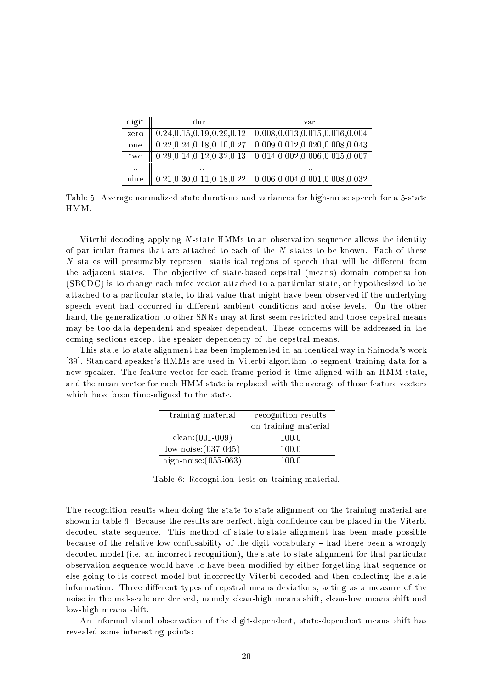| digit                | dur.                         | var.                              |
|----------------------|------------------------------|-----------------------------------|
| zero                 | 0.24, 0.15, 0.19, 0.29, 0.12 | 0.008, 0.013, 0.015, 0.016, 0.004 |
| one                  | 0.22, 0.24, 0.18, 0.10, 0.27 | 0.009, 0.012, 0.020, 0.008, 0.043 |
| two                  | 0.29, 0.14, 0.12, 0.32, 0.13 | 0.014, 0.002, 0.006, 0.015, 0.007 |
| $\ddot{\phantom{a}}$ | $\sim$ $\sim$ $\sim$         | $\ddot{\phantom{a}}$              |
| nine                 | 0.21, 0.30, 0.11, 0.18, 0.22 | 0.006, 0.004, 0.001, 0.008, 0.032 |

Table 5: Average normalized state durations and variances for high-noise speech for a 5-state HMM.

Viterbi decoding applying N-state HMMs to an observation sequence allows the identity of particular frames that are attached to each of the N states to be known. Each of these N states will presumably represent statistical regions of speech that will be different from the adjacent states. The objective of state-based cepstral (means) domain compensation (SBCDC) is to change each mfcc vector attached to a particular state, or hypothesized to be attached to a particular state, to that value that might have been observed if the underlying speech event had occurred in different ambient conditions and noise levels. On the other hand, the generalization to other SNRs may at first seem restricted and those cepstral means may be too data-dependent and speaker-dependent. These concerns will be addressed in the coming sections except the speaker-dependency of the cepstral means.

This state-to-state alignment has been implemented in an identical way in Shinoda's work [39]. Standard speaker's HMMs are used in Viterbi algorithm to segment training data for a new speaker. The feature vector for each frame period is time-aligned with an HMM state, and the mean vector for each HMM state is replaced with the average of those feature vectors which have been time-aligned to the state.

| training material       | recognition results  |  |
|-------------------------|----------------------|--|
|                         | on training material |  |
| $clean:(001-009)$       | 100.0                |  |
| $low-noise:(037-045)$   | 100.0                |  |
| high-noise: $(055-063)$ | 100 0                |  |

Table 6: Recognition tests on training material.

The recognition results when doing the state-to-state alignment on the training material are shown in table 6. Because the results are perfect, high confidence can be placed in the Viterbi decoded state sequence. This method of state-to-state alignment has been made possible because of the relative low confusability of the digit vocabulary – had there been a wrongly decoded model (i.e. an incorrect recognition), the state-to-state alignment for that particular observation sequence would have to have been modified by either forgetting that sequence or else going to its correct model but incorrectly Viterbi decoded and then collecting the state information. Three different types of cepstral means deviations, acting as a measure of the noise in the mel-scale are derived, namely clean-high means shift, clean-low means shift and low-high means shift.

An informal visual observation of the digit-dependent, state-dependent means shift has revealed some interesting points: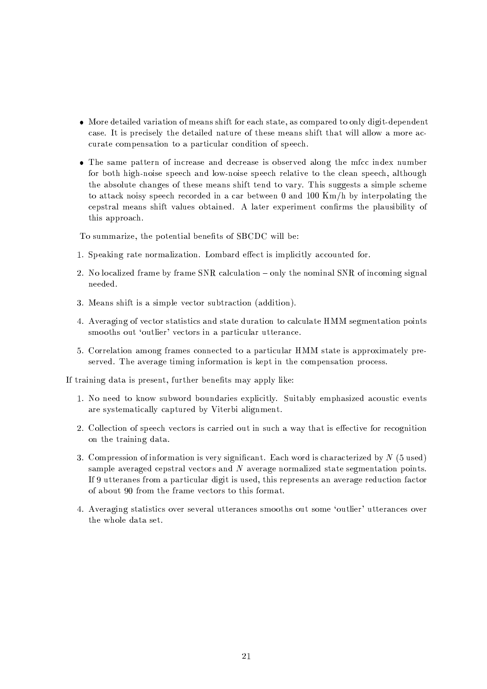- More detailed variation of means shift for each state, as compared to only digit-dependent case. It is precisely the detailed nature of these means shift that will allow a more accurate compensation to a particular condition of speech.
- The same pattern of increase and decrease is observed along the mfcc index number for both high-noise speech and low-noise speech relative to the clean speech, although the absolute changes of these means shift tend to vary. This suggests a simple scheme to attack noisy speech recorded in a car between 0 and 100 Km/h by interpolating the cepstral means shift values obtained. A later experiment confirms the plausibility of this approach.

To summarize, the potential benefits of SBCDC will be:

- 1. Speaking rate normalization. Lombard effect is implicitly accounted for.
- 2. No localized frame by frame SNR calculation only the nominal SNR of incoming signal needed.
- 3. Means shift is a simple vector subtraction (addition).
- 4. Averaging of vector statistics and state duration to calculate HMM segmentation points smooths out 'outlier' vectors in a particular utterance.
- 5. Correlation among frames connected to a particular HMM state is approximately preserved. The average timing information is kept in the compensation process.

If training data is present, further benefits may apply like:

- 1. No need to know subword boundaries explicitly. Suitably emphasized acoustic events are systematically captured by Viterbi alignment.
- 2. Collection of speech vectors is carried out in such a way that is effective for recognition on the training data.
- 3. Compression of information is very significant. Each word is characterized by  $N$  (5 used) sample averaged cepstral vectors and  $N$  average normalized state segmentation points. If 9 utteranes from a particular digit is used, this represents an average reduction factor of about 90 from the frame vectors to this format.
- 4. Averaging statistics over several utterances smooths out some 'outlier' utterances over the whole data set.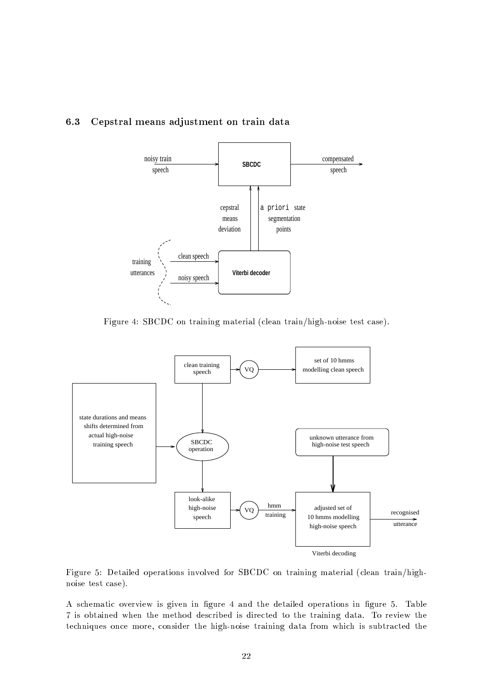#### 6.3 Cepstral means adjustment on train data



Figure 4: SBCDC on training material (clean train/high-noise test case).



Figure 5: Detailed operations involved for SBCDC on training material (clean train/highnoise test case).

A schematic overview is given in figure 4 and the detailed operations in figure 5. Table 7 is obtained when the method described is directed to the training data. To review the techniques once more, consider the high-noise training data from which is subtracted the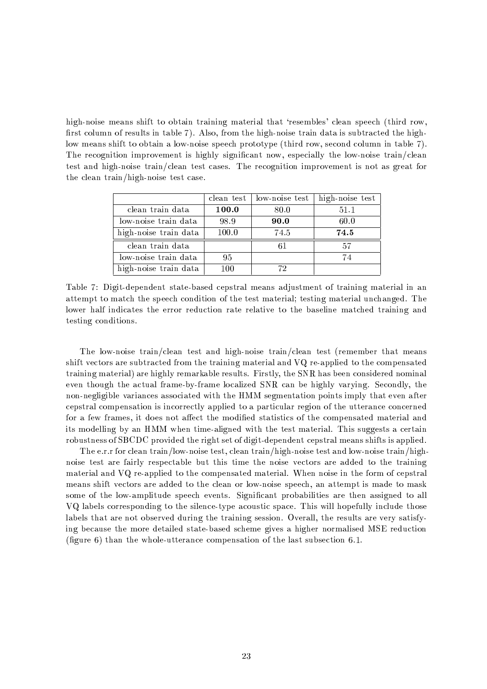high-noise means shift to obtain training material that 'resembles' clean speech (third row, first column of results in table 7). Also, from the high-noise train data is subtracted the highlow means shift to obtain a low-noise speech prototype (third row, second column in table 7). The recognition improvement is highly significant now, especially the low-noise train/clean test and high-noise train/clean test cases. The recognition improvement is not as great for the clean train/high-noise test case.

|                       | clean test | low-noise test | high-noise test |
|-----------------------|------------|----------------|-----------------|
| clean train data      | 100.0      | 80.0           | 51.1            |
| low-noise train data  | 98.9       | 90.0           | 60.0            |
| high-noise train data | 100.0      | 74.5           | 74.5            |
| clean train data      |            |                | 57              |
| low-noise train data  | 95         |                | 74              |
| high-noise train data | 100        | 72             |                 |

Table 7: Digit-dependent state-based cepstral means adjustment of training material in an attempt to match the speech condition of the test material; testing material unchanged. The lower half indicates the error reduction rate relative to the baseline matched training and testing conditions.

The low-noise train/clean test and high-noise train/clean test (remember that means shift vectors are subtracted from the training material and VQ re-applied to the compensated training material) are highly remarkable results. Firstly, the SNR has been considered nominal even though the actual frame-by-frame localized SNR can be highly varying. Secondly, the non-negligible variances associated with the HMM segmentation points imply that even after cepstral compensation is incorrectly applied to a particular region of the utterance concerned for a few frames, it does not affect the modified statistics of the compensated material and its modelling by an HMM when time-aligned with the test material. This suggests a certain robustness of SBCDC provided the right set of digit-dependent cepstral means shifts is applied.

The e.r.r for clean train/low-noise test, clean train/high-noise test and low-noise train/highnoise test are fairly respectable but this time the noise vectors are added to the training material and VQ re-applied to the compensated material. When noise in the form of cepstral means shift vectors are added to the clean or low-noise speech, an attempt is made to mask some of the low-amplitude speech events. Significant probabilities are then assigned to all VQ labels corresponding to the silence-type acoustic space. This will hopefully include those labels that are not observed during the training session. Overall, the results are very satisfying because the more detailed state-based scheme gives a higher normalised MSE reduction (figure 6) than the whole-utterance compensation of the last subsection  $6.1$ .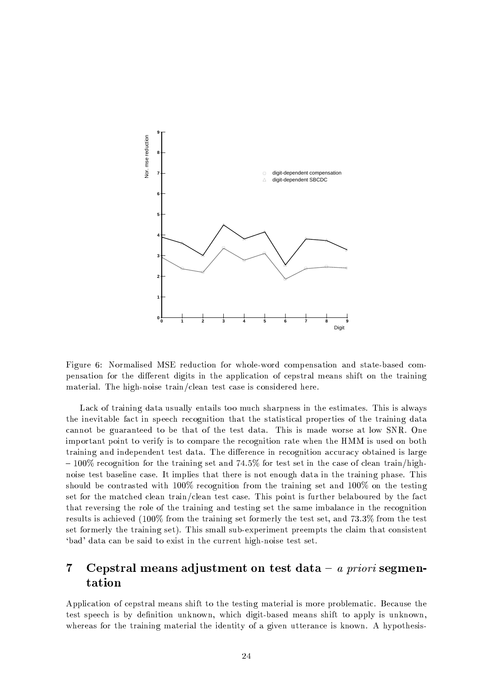

Figure 6: Normalised MSE reduction for whole-word compensation and state-based compensation for the different digits in the application of cepstral means shift on the training material. The high-noise train/clean test case is considered here.

Lack of training data usually entails too much sharpness in the estimates. This is always the inevitable fact in speech recognition that the statistical properties of the training data cannot be guaranteed to be that of the test data. This is made worse at low SNR. One important point to verify is to compare the recognition rate when the HMM is used on both training and independent test data. The difference in recognition accuracy obtained is large  $-100\%$  recognition for the training set and 74.5% for test set in the case of clean train/highnoise test baseline case. It implies that there is not enough data in the training phase. This should be contrasted with  $100\%$  recognition from the training set and  $100\%$  on the testing set for the matched clean train/clean test case. This point is further belaboured by the fact that reversing the role of the training and testing set the same imbalance in the recognition results is achieved  $(100\%$  from the training set formerly the test set, and 73.3% from the test set formerly the training set). This small sub-experiment preempts the claim that consistent 'bad' data can be said to exist in the current high-noise test set.

### $\overline{7}$ Cepstral means adjustment on test data  $-a$  priori segmentation

Application of cepstral means shift to the testing material is more problematic. Because the test speech is by definition unknown, which digit-based means shift to apply is unknown, whereas for the training material the identity of a given utterance is known. A hypothesis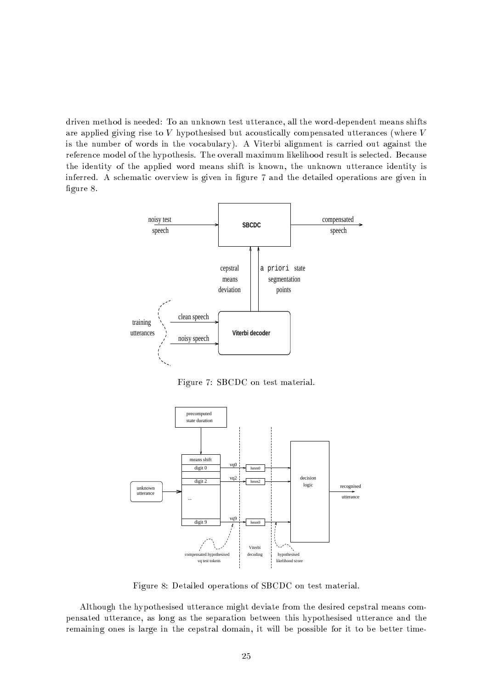driven method is needed: To an unknown test utterance, all the word-dependent means shifts are applied giving rise to  $V$  hypothesised but acoustically compensated utterances (where  $V$ is the number of words in the vocabulary). A Viterbi alignment is carried out against the reference model of the hypothesis. The overall maximum likelihood result is selected. Because the identity of the applied word means shift is known, the unknown utterance identity is inferred. A schematic overview is given in figure 7 and the detailed operations are given in figure 8.



Figure 7: SBCDC on test material.



Figure 8: Detailed operations of SBCDC on test material.

Although the hypothesised utterance might deviate from the desired cepstral means compensated utterance, as long as the separation between this hypothesised utterance and the remaining ones is large in the cepstral domain, it will be possible for it to be better time-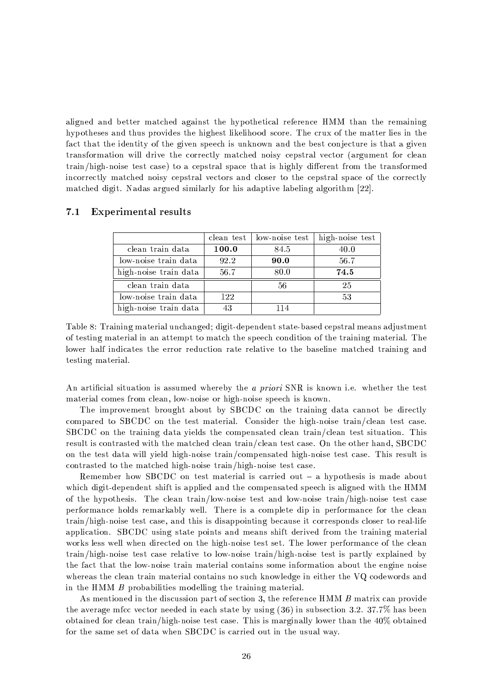aligned and better matched against the hypothetical reference HMM than the remaining hypotheses and thus provides the highest likelihood score. The crux of the matter lies in the fact that the identity of the given speech is unknown and the best conjecture is that a given transformation will drive the correctly matched noisy cepstral vector (argument for clean train/high-noise test case) to a cepstral space that is highly different from the transformed incorrectly matched noisy cepstral vectors and closer to the cepstral space of the correctly matched digit. Nadas argued similarly for his adaptive labeling algorithm [22].

|                       |       | clean test   low-noise test | high-noise test |
|-----------------------|-------|-----------------------------|-----------------|
| clean train data      | 100.0 | 84.5                        | 40.0            |
| low-noise train data  | 92.2  | 90.0                        | 56.7            |
| high-noise train data | 56.7  | 80.0                        | 74.5            |
| clean train data      |       | 56                          | -25             |
| low-noise train data  | 122   |                             | 53              |
| high-noise train data | 43    | 114                         |                 |

#### $7.1$ **Experimental results**

Table 8: Training material unchanged; digit-dependent state-based cepstral means adjustment of testing material in an attempt to match the speech condition of the training material. The lower half indicates the error reduction rate relative to the baseline matched training and testing material.

An artificial situation is assumed whereby the *a priori* SNR is known i.e. whether the test material comes from clean, low-noise or high-noise speech is known.

The improvement brought about by SBCDC on the training data cannot be directly compared to SBCDC on the test material. Consider the high-noise train/clean test case. SBCDC on the training data yields the compensated clean train/clean test situation. This result is contrasted with the matched clean train/clean test case. On the other hand, SBCDC on the test data will yield high-noise train/compensated high-noise test case. This result is contrasted to the matched high-noise train/high-noise test case.

Remember how SBCDC on test material is carried out  $-$  a hypothesis is made about which digit-dependent shift is applied and the compensated speech is aligned with the HMM of the hypothesis. The clean train/low-noise test and low-noise train/high-noise test case performance holds remarkably well. There is a complete dip in performance for the clean train/high-noise test case, and this is disappointing because it corresponds closer to real-life application. SBCDC using state points and means shift derived from the training material works less well when directed on the high-noise test set. The lower performance of the clean train/high-noise test case relative to low-noise train/high-noise test is partly explained by the fact that the low-noise train material contains some information about the engine noise whereas the clean train material contains no such knowledge in either the VQ codewords and in the HMM  $B$  probabilities modelling the training material.

As mentioned in the discussion part of section 3, the reference HMM B matrix can provide the average mfcc vector needed in each state by using  $(36)$  in subsection 3.2. 37.7% has been obtained for clean train/high-noise test case. This is marginally lower than the  $40\%$  obtained for the same set of data when SBCDC is carried out in the usual way.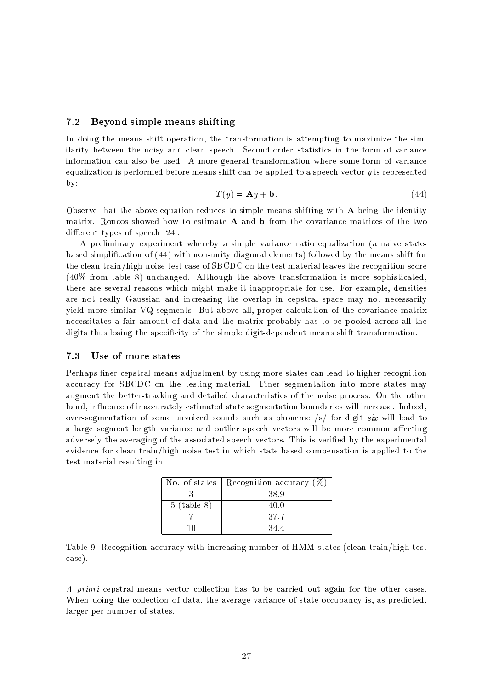#### Bevond simple means shifting  $7.2$

In doing the means shift operation, the transformation is attempting to maximize the similarity between the noisy and clean speech. Second-order statistics in the form of variance information can also be used. A more general transformation where some form of variance equalization is performed before means shift can be applied to a speech vector  $y$  is represented  $by:$ 

$$
T(y) = \mathbf{A}y + \mathbf{b}.\tag{44}
$$

Observe that the above equation reduces to simple means shifting with A being the identity matrix. Roucos showed how to estimate A and b from the covariance matrices of the two different types of speech  $[24]$ .

A preliminary experiment whereby a simple variance ratio equalization (a naive statebased simplification of (44) with non-unity diagonal elements) followed by the means shift for the clean train/high-noise test case of SBCDC on the test material leaves the recognition score  $(40\%$  from table 8) unchanged. Although the above transformation is more sophisticated, there are several reasons which might make it inappropriate for use. For example, densities are not really Gaussian and increasing the overlap in cepstral space may not necessarily yield more similar VQ segments. But above all, proper calculation of the covariance matrix necessitates a fair amount of data and the matrix probably has to be pooled across all the digits thus losing the specificity of the simple digit-dependent means shift transformation.

#### 7.3 Use of more states

Perhaps finer cepstral means adjustment by using more states can lead to higher recognition accuracy for SBCDC on the testing material. Finer segmentation into more states may augment the better-tracking and detailed characteristics of the noise process. On the other hand, influence of inaccurately estimated state segmentation boundaries will increase. Indeed, over-segmentation of some unvoiced sounds such as phoneme /s/ for digit six will lead to a large segment length variance and outlier speech vectors will be more common affecting adversely the averaging of the associated speech vectors. This is verified by the experimental evidence for clean train/high-noise test in which state-based compensation is applied to the test material resulting in:

| No. of states | Recognition accuracy $(\%)$ |
|---------------|-----------------------------|
|               | 38.9                        |
| $5$ (table 8) | 40.0                        |
|               | 37.7                        |
|               | 34.4                        |

Table 9: Recognition accuracy with increasing number of HMM states (clean train/high test case).

A priori cepstral means vector collection has to be carried out again for the other cases. When doing the collection of data, the average variance of state occupancy is, as predicted, larger per number of states.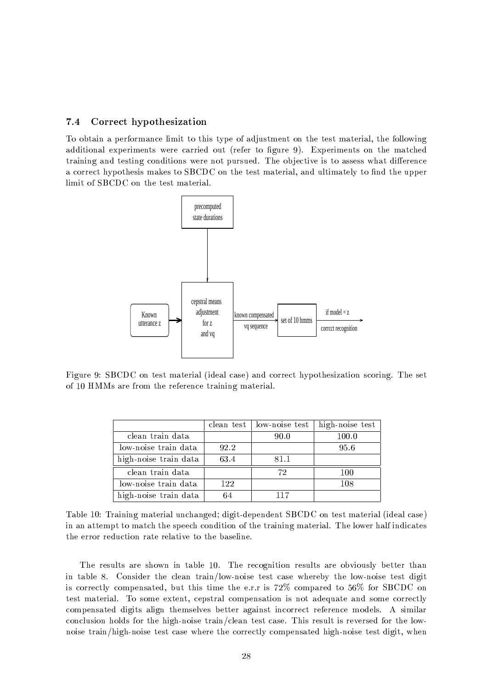#### $7.4$ Correct hypothesization

To obtain a performance limit to this type of adjustment on the test material, the following additional experiments were carried out (refer to figure 9). Experiments on the matched training and testing conditions were not pursued. The objective is to assess what difference a correct hypothesis makes to SBCDC on the test material, and ultimately to find the upper limit of SBCDC on the test material.



Figure 9: SBCDC on test material (ideal case) and correct hypothesization scoring. The set of 10 HMMs are from the reference training material.

|                       |      | clean test   low-noise test | high-noise test |
|-----------------------|------|-----------------------------|-----------------|
| clean train data      |      | 90.0                        | 100.0           |
| low-noise train data  | 92.2 |                             | 95.6            |
| high-noise train data | 63.4 | 81.1                        |                 |
| clean train data      |      | 72                          | 100             |
| low-noise train data  | 122  |                             | 108             |
| high-noise train data | 64   | 117                         |                 |

Table 10: Training material unchanged; digit-dependent SBCDC on test material (ideal case) in an attempt to match the speech condition of the training material. The lower half indicates the error reduction rate relative to the baseline.

The results are shown in table 10. The recognition results are obviously better than in table 8. Consider the clean train/low-noise test case whereby the low-noise test digit is correctly compensated, but this time the e.r.r is  $72\%$  compared to  $56\%$  for SBCDC on test material. To some extent, cepstral compensation is not adequate and some correctly compensated digits align themselves better against incorrect reference models. A similar conclusion holds for the high-noise train/clean test case. This result is reversed for the lownoise train/high-noise test case where the correctly compensated high-noise test digit, when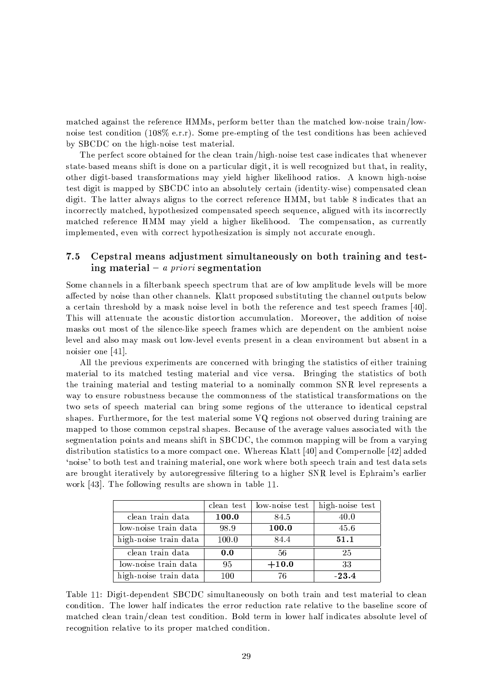matched against the reference HMMs, perform better than the matched low-noise train/lownoise test condition (108% e.r.r). Some pre-empting of the test conditions has been achieved by SBCDC on the high-noise test material.

The perfect score obtained for the clean train/high-noise test case indicates that whenever state-based means shift is done on a particular digit, it is well recognized but that, in reality, other digit-based transformations may yield higher likelihood ratios. A known high-noise test digit is mapped by SBCDC into an absolutely certain (identity-wise) compensated clean digit. The latter always aligns to the correct reference HMM, but table 8 indicates that an incorrectly matched, hypothesized compensated speech sequence, aligned with its incorrectly matched reference HMM may yield a higher likelihood. The compensation, as currently implemented, even with correct hypothesization is simply not accurate enough.

#### $7.5$ Cepstral means adjustment simultaneously on both training and testing material – *a priori* segmentation

Some channels in a filterbank speech spectrum that are of low amplitude levels will be more affected by noise than other channels. Klatt proposed substituting the channel outputs below a certain threshold by a mask noise level in both the reference and test speech frames [40]. This will attenuate the acoustic distortion accumulation. Moreover, the addition of noise masks out most of the silence-like speech frames which are dependent on the ambient noise level and also may mask out low-level events present in a clean environment but absent in a noisier one  $[41]$ .

All the previous experiments are concerned with bringing the statistics of either training material to its matched testing material and vice versa. Bringing the statistics of both the training material and testing material to a nominally common SNR level represents a way to ensure robustness because the commonness of the statistical transformations on the two sets of speech material can bring some regions of the utterance to identical cepstral shapes. Furthermore, for the test material some VQ regions not observed during training are mapped to those common cepstral shapes. Because of the average values associated with the segmentation points and means shift in SBCDC, the common mapping will be from a varying distribution statistics to a more compact one. Whereas Klatt [40] and Compernolle [42] added 'noise' to both test and training material, one work where both speech train and test data sets are brought iteratively by autoregressive filtering to a higher SNR level is Ephraim's earlier work [43]. The following results are shown in table 11.

|                       | clean test | low-noise test | high-noise test |
|-----------------------|------------|----------------|-----------------|
| clean train data      | 100.0      | 84.5           | 40.0            |
| low-noise train data  | 98.9       | 100.0          | 45.6            |
| high-noise train data | 100.0      | 84.4           | 51.1            |
| clean train data      | 0.0        | 56             | 25              |
| low-noise train data  | 95         | $+10.0$        | 33              |
| high-noise train data | 100        | 76             | $-23.4$         |

Table 11: Digit-dependent SBCDC simultaneously on both train and test material to clean condition. The lower half indicates the error reduction rate relative to the baseline score of matched clean train/clean test condition. Bold term in lower half indicates absolute level of recognition relative to its proper matched condition.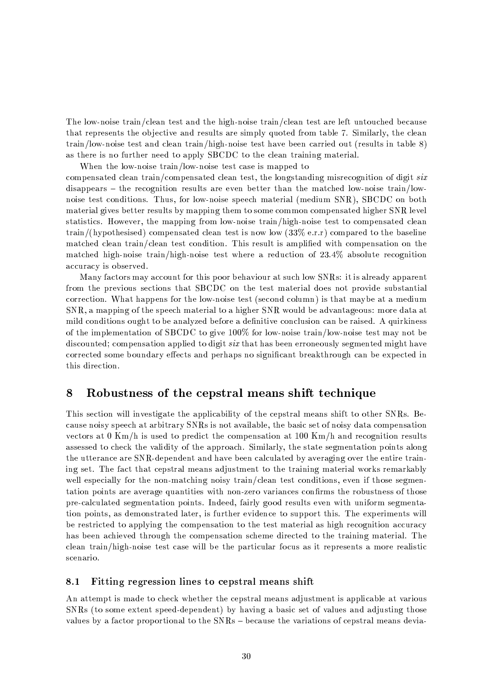The low-noise train/clean test and the high-noise train/clean test are left untouched because that represents the objective and results are simply quoted from table 7. Similarly, the clean  $train/low-noise$  test and clean train/high-noise test have been carried out (results in table 8) as there is no further need to apply SBCDC to the clean training material.

When the low-noise train/low-noise test case is mapped to

compensated clean train/compensated clean test, the longstanding misrecognition of digit six disappears – the recognition results are even better than the matched low-noise train/lownoise test conditions. Thus, for low-noise speech material (medium SNR), SBCDC on both material gives better results by mapping them to some common compensated higher SNR level statistics. However, the mapping from low-noise train/high-noise test to compensated clean train/(hypothesised) compensated clean test is now low  $(33\% \text{ e.r. r})$  compared to the baseline matched clean train/clean test condition. This result is amplified with compensation on the matched high-noise train/high-noise test where a reduction of 23.4% absolute recognition accuracy is observed.

Many factors may account for this poor behaviour at such low SNRs: it is already apparent from the previous sections that SBCDC on the test material does not provide substantial correction. What happens for the low-noise test (second column) is that maybe at a medium SNR, a mapping of the speech material to a higher SNR would be advantageous: more data at mild conditions ought to be analyzed before a definitive conclusion can be raised. A quirkiness of the implementation of SBCDC to give  $100\%$  for low-noise train/low-noise test may not be discounted; compensation applied to digit *six* that has been erroneously segmented might have corrected some boundary effects and perhaps no significant breakthrough can be expected in this direction.

#### 8 Robustness of the cepstral means shift technique

This section will investigate the applicability of the cepstral means shift to other SNRs. Because noisy speech at arbitrary SNRs is not available, the basic set of noisy data compensation vectors at  $0 \text{ Km/h}$  is used to predict the compensation at 100 Km/h and recognition results assessed to check the validity of the approach. Similarly, the state segmentation points along the utterance are SNR-dependent and have been calculated by averaging over the entire training set. The fact that cepstral means adjustment to the training material works remarkably well especially for the non-matching noisy train/clean test conditions, even if those segmentation points are average quantities with non-zero variances confirms the robustness of those pre-calculated segmentation points. Indeed, fairly good results even with uniform segmentation points, as demonstrated later, is further evidence to support this. The experiments will be restricted to applying the compensation to the test material as high recognition accuracy has been achieved through the compensation scheme directed to the training material. The clean train/high-noise test case will be the particular focus as it represents a more realistic scenario.

#### 8.1 Fitting regression lines to cepstral means shift

An attempt is made to check whether the cepstral means adjustment is applicable at various SNRs (to some extent speed-dependent) by having a basic set of values and adjusting those values by a factor proportional to the SNRs – because the variations of cepstral means devia-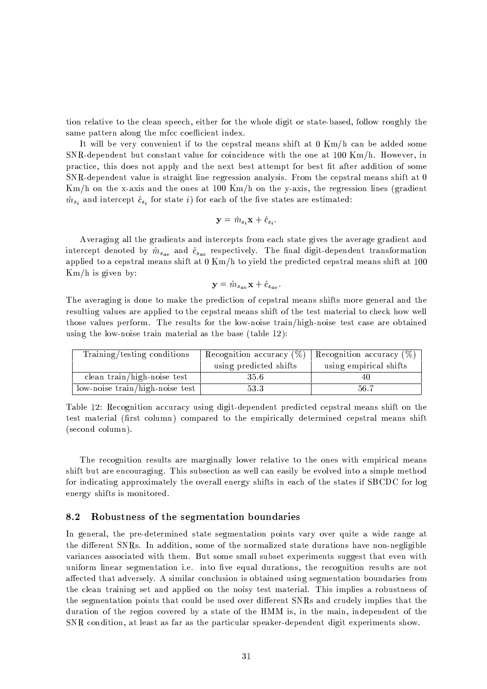tion relative to the clean speech, either for the whole digit or state-based, follow roughly the same pattern along the mfcc coefficient index.

It will be very convenient if to the cepstral means shift at  $0 \text{ Km/h}$  can be added some SNR-dependent but constant value for coincidence with the one at 100 Km/h. However, in practice, this does not apply and the next best attempt for best fit after addition of some SNR-dependent value is straight line regression analysis. From the cepstral means shift at 0  $\rm{Km}/h$  on the x-axis and the ones at 100 Km/h on the y-axis, the regression lines (gradient  $\hat{m}_{s_i}$  and intercept  $\hat{c}_{s_i}$  for state i) for each of the five states are estimated:

$$
\mathbf{y} = \hat{m}_{s_i} \mathbf{x} + \hat{c}_{s_i}
$$

Averaging all the gradients and intercepts from each state gives the average gradient and intercept denoted by  $\hat{m}_{s_{av}}$  and  $\hat{c}_{s_{av}}$  respectively. The final digit-dependent transformation applied to a cepstral means shift at  $0 \text{ Km/h}$  to yield the predicted cepstral means shift at 100  $Km/h$  is given by:

$$
\mathbf{y} = \hat{m}_{s_{av}} \mathbf{x} + \hat{c}_{s_{av}}.
$$

The averaging is done to make the prediction of cepstral means shifts more general and the resulting values are applied to the cepstral means shift of the test material to check how well those values perform. The results for the low-noise train/high-noise test case are obtained using the low-noise train material as the base (table 12):

| Training/testing conditions       | Recognition accuracy $(\%)$ | Recognition accuracy $(\%)$ |
|-----------------------------------|-----------------------------|-----------------------------|
|                                   | using predicted shifts      | using empirical shifts      |
| clean train/high-noise test       | 35.6                        |                             |
| $low-noise train/high-noise test$ | 53.3                        | 56.7                        |

Table 12: Recognition accuracy using digit-dependent predicted cepstral means shift on the test material (first column) compared to the empirically determined cepstral means shift (second column).

The recognition results are marginally lower relative to the ones with empirical means shift but are encouraging. This subsection as well can easily be evolved into a simple method for indicating approximately the overall energy shifts in each of the states if SBCDC for log energy shifts is monitored.

#### 8.2 Robustness of the segmentation boundaries

In general, the pre-determined state segmentation points vary over quite a wide range at the different SNRs. In addition, some of the normalized state durations have non-negligible variances associated with them. But some small subset experiments suggest that even with uniform linear segmentation i.e. into five equal durations, the recognition results are not affected that adversely. A similar conclusion is obtained using segmentation boundaries from the clean training set and applied on the noisy test material. This implies a robustness of the segmentation points that could be used over different SNRs and crudely implies that the duration of the region covered by a state of the HMM is, in the main, independent of the SNR condition, at least as far as the particular speaker-dependent digit experiments show.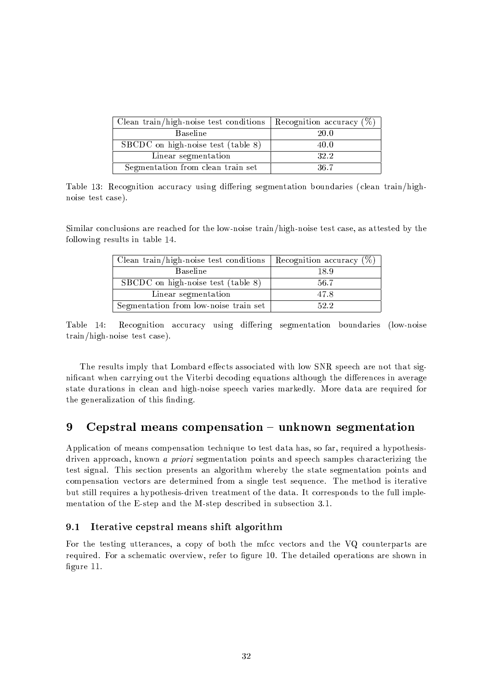| Clean train/high-noise test conditions | Recognition accuracy $(\%)$ |
|----------------------------------------|-----------------------------|
| <b>Baseline</b>                        | 20.0                        |
| SBCDC on high-noise test (table 8)     | 40.0                        |
| Linear segmentation                    | 32.2                        |
| Segmentation from clean train set      | 36.7                        |

Table 13: Recognition accuracy using differing segmentation boundaries (clean train/highnoise test case).

Similar conclusions are reached for the low-noise train/high-noise test case, as attested by the following results in table 14.

| Clean train/high-noise test conditions | Recognition accuracy $(\%)$ |
|----------------------------------------|-----------------------------|
| <b>Baseline</b>                        | 18.9                        |
| SBCDC on high-noise test (table 8)     | 56.7                        |
| Linear segmentation                    | 47.8                        |
| Segmentation from low-noise train set  | 52.2                        |

Recognition accuracy using differing segmentation boundaries (low-noise Table 14: train/high-noise test case).

The results imply that Lombard effects associated with low SNR speech are not that significant when carrying out the Viterbi decoding equations although the differences in average state durations in clean and high-noise speech varies markedly. More data are required for the generalization of this finding.

#### 9 Cepstral means compensation - unknown segmentation

Application of means compensation technique to test data has, so far, required a hypothesisdriven approach, known a priori segmentation points and speech samples characterizing the test signal. This section presents an algorithm whereby the state segmentation points and compensation vectors are determined from a single test sequence. The method is iterative but still requires a hypothesis-driven treatment of the data. It corresponds to the full implementation of the E-step and the M-step described in subsection 3.1.

#### $9.1$ Iterative cepstral means shift algorithm

For the testing utterances, a copy of both the mfcc vectors and the VQ counterparts are required. For a schematic overview, refer to figure 10. The detailed operations are shown in figure 11.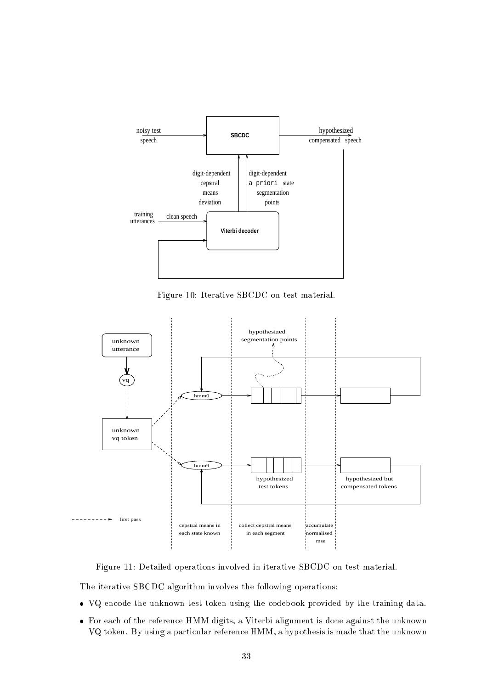

Figure 10: Iterative SBCDC on test material.



Figure 11: Detailed operations involved in iterative SBCDC on test material.

The iterative SBCDC algorithm involves the following operations:

- VQ encode the unknown test token using the codebook provided by the training data.
- For each of the reference HMM digits, a Viterbi alignment is done against the unknown VQ token. By using a particular reference HMM, a hypothesis is made that the unknown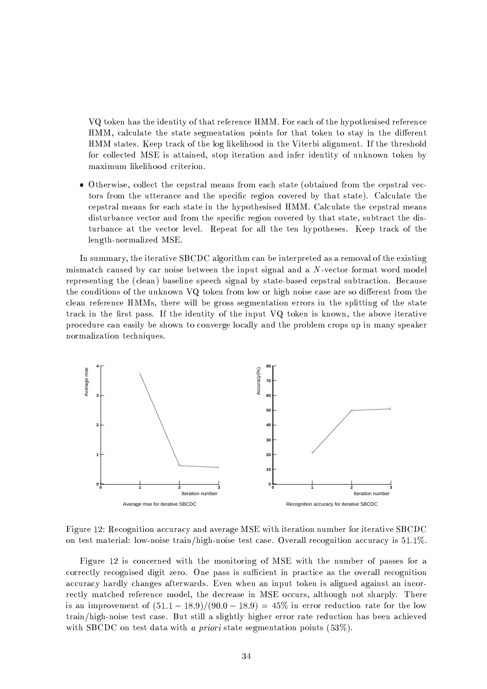VQ token has the identity of that reference HMM. For each of the hypothesised reference HMM, calculate the state segmentation points for that token to stay in the different HMM states. Keep track of the log likelihood in the Viterbi alignment. If the threshold for collected MSE is attained, stop iteration and infer identity of unknown token by maximum likelihood criterion.

• Otherwise, collect the cepstral means from each state (obtained from the cepstral vectors from the utterance and the specific region covered by that state). Calculate the cepstral means for each state in the hypothesised HMM. Calculate the cepstral means disturbance vector and from the specific region covered by that state, subtract the disturbance at the vector level. Repeat for all the ten hypotheses. Keep track of the length-normalized MSE.

In summary, the iterative SBCDC algorithm can be interpreted as a removal of the existing mismatch caused by car noise between the input signal and a N-vector format word model representing the (clean) baseline speech signal by state-based cepstral subtraction. Because the conditions of the unknown VQ token from low or high noise case are so different from the clean reference HMMs, there will be gross segmentation errors in the splitting of the state track in the first pass. If the identity of the input VQ token is known, the above iterative procedure can easily be shown to converge locally and the problem crops up in many speaker normalization techniques.



Figure 12: Recognition accuracy and average MSE with iteration number for iterative SBCDC on test material: low-noise train/high-noise test case. Overall recognition accuracy is 51.1%.

Figure 12 is concerned with the monitoring of MSE with the number of passes for a correctly recognised digit zero. One pass is sufficient in practice as the overall recognition accuracy hardly changes afterwards. Even when an input token is aligned against an incorrectly matched reference model, the decrease in MSE occurs, although not sharply. There is an improvement of  $(51.1 - 18.9)/(90.0 - 18.9) = 45\%$  in error reduction rate for the low train/high-noise test case. But still a slightly higher error rate reduction has been achieved with SBCDC on test data with a priori state segmentation points  $(53\%)$ .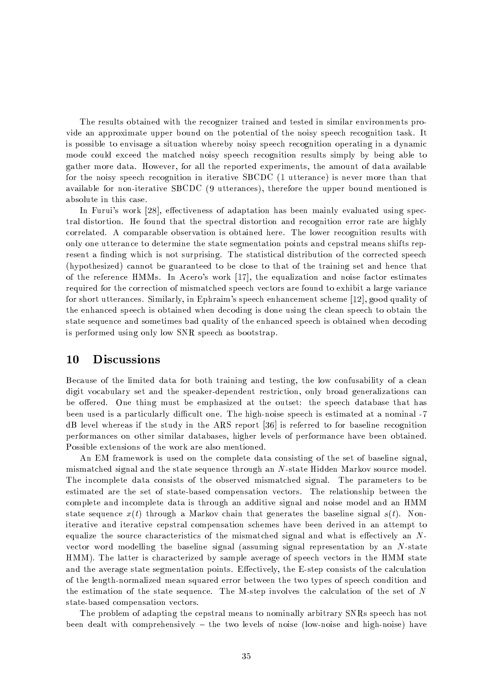The results obtained with the recognizer trained and tested in similar environments provide an approximate upper bound on the potential of the noisy speech recognition task. It is possible to envisage a situation whereby noisy speech recognition operating in a dynamic mode could exceed the matched noisy speech recognition results simply by being able to gather more data. However, for all the reported experiments, the amount of data available for the noisy speech recognition in iterative SBCDC (1 utterance) is never more than that available for non-iterative SBCDC (9 utterances), therefore the upper bound mentioned is absolute in this case.

In Furui's work [28], effectiveness of adaptation has been mainly evaluated using spectral distortion. He found that the spectral distortion and recognition error rate are highly correlated. A comparable observation is obtained here. The lower recognition results with only one utterance to determine the state segmentation points and cepstral means shifts represent a finding which is not surprising. The statistical distribution of the corrected speech (hypothesized) cannot be guaranteed to be close to that of the training set and hence that of the reference HMMs. In Acero's work [17], the equalization and noise factor estimates required for the correction of mismatched speech vectors are found to exhibit a large variance for short utterances. Similarly, in Ephraim's speech enhancement scheme [12], good quality of the enhanced speech is obtained when decoding is done using the clean speech to obtain the state sequence and sometimes bad quality of the enhanced speech is obtained when decoding is performed using only low SNR speech as bootstrap.

#### **10**  $\mathbf{Disc}$  ussions

Because of the limited data for both training and testing, the low confusability of a clean digit vocabulary set and the speaker-dependent restriction, only broad generalizations can be offered. One thing must be emphasized at the outset: the speech database that has been used is a particularly difficult one. The high-noise speech is estimated at a nominal -7 dB level whereas if the study in the ARS report [36] is referred to for baseline recognition performances on other similar databases, higher levels of performance have been obtained. Possible extensions of the work are also mentioned.

An EM framework is used on the complete data consisting of the set of baseline signal, mismatched signal and the state sequence through an N-state Hidden Markov source model. The incomplete data consists of the observed mismatched signal. The parameters to be estimated are the set of state-based compensation vectors. The relationship between the complete and incomplete data is through an additive signal and noise model and an HMM state sequence  $x(t)$  through a Markov chain that generates the baseline signal  $s(t)$ . Noniterative and iterative cepstral compensation schemes have been derived in an attempt to equalize the source characteristics of the mismatched signal and what is effectively an  $N$ vector word modelling the baseline signal (assuming signal representation by an N-state HMM). The latter is characterized by sample average of speech vectors in the HMM state and the average state segmentation points. Effectively, the E-step consists of the calculation of the length-normalized mean squared error between the two types of speech condition and the estimation of the state sequence. The M-step involves the calculation of the set of  $N$ state-based compensation vectors.

The problem of adapting the cepstral means to nominally arbitrary SNRs speech has not been dealt with comprehensively - the two levels of noise (low-noise and high-noise) have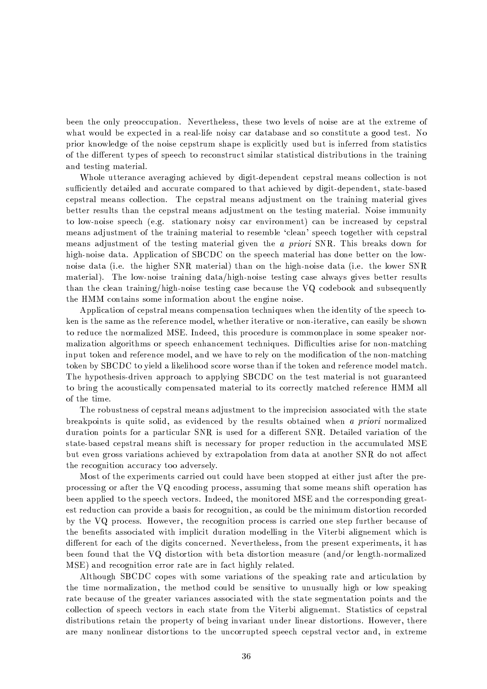been the only preoccupation. Nevertheless, these two levels of noise are at the extreme of what would be expected in a real-life noisy car database and so constitute a good test. No prior knowledge of the noise cepstrum shape is explicitly used but is inferred from statistics of the different types of speech to reconstruct similar statistical distributions in the training and testing material.

Whole utterance averaging achieved by digit-dependent cepstral means collection is not sufficiently detailed and accurate compared to that achieved by digit-dependent, state-based cepstral means collection. The cepstral means adjustment on the training material gives better results than the cepstral means adjustment on the testing material. Noise immunity to low-noise speech (e.g. stationary noisy car environment) can be increased by cepstral means adjustment of the training material to resemble 'clean' speech together with cepstral means adjustment of the testing material given the a priori SNR. This breaks down for high-noise data. Application of SBCDC on the speech material has done better on the lownoise data (i.e. the higher SNR material) than on the high-noise data (i.e. the lower SNR material). The low-noise training data/high-noise testing case always gives better results than the clean training/high-noise testing case because the VQ codebook and subsequently the HMM contains some information about the engine noise.

Application of cepstral means compensation techniques when the identity of the speech token is the same as the reference model, whether iterative or non-iterative, can easily be shown to reduce the normalized MSE. Indeed, this procedure is commonplace in some speaker normalization algorithms or speech enhancement techniques. Difficulties arise for non-matching input token and reference model, and we have to rely on the modification of the non-matching token by SBCDC to yield a likelihood score worse than if the token and reference model match. The hypothesis-driven approach to applying SBCDC on the test material is not guaranteed to bring the acoustically compensated material to its correctly matched reference HMM all of the time.

The robustness of cepstral means adjustment to the imprecision associated with the state breakpoints is quite solid, as evidenced by the results obtained when a priori normalized duration points for a particular SNR is used for a different SNR. Detailed variation of the state-based cepstral means shift is necessary for proper reduction in the accumulated MSE but even gross variations achieved by extrapolation from data at another SNR do not affect the recognition accuracy too adversely.

Most of the experiments carried out could have been stopped at either just after the preprocessing or after the VQ encoding process, assuming that some means shift operation has been applied to the speech vectors. Indeed, the monitored MSE and the corresponding greatest reduction can provide a basis for recognition, as could be the minimum distortion recorded by the VQ process. However, the recognition process is carried one step further because of the benefits associated with implicit duration modelling in the Viterbi alignement which is different for each of the digits concerned. Nevertheless, from the present experiments, it has been found that the VQ distortion with beta distortion measure (and/or length-normalized MSE) and recognition error rate are in fact highly related.

Although SBCDC copes with some variations of the speaking rate and articulation by the time normalization, the method could be sensitive to unusually high or low speaking rate because of the greater variances associated with the state segmentation points and the collection of speech vectors in each state from the Viterbi alignement. Statistics of cepstral distributions retain the property of being invariant under linear distortions. However, there are many nonlinear distortions to the uncorrupted speech cepstral vector and, in extreme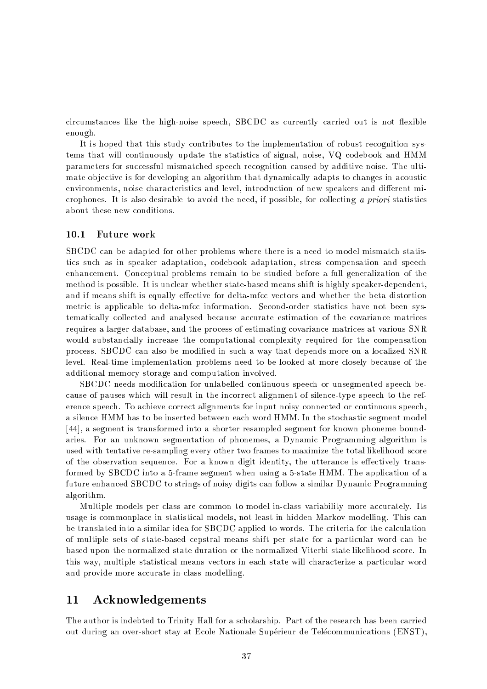circumstances like the high-noise speech, SBCDC as currently carried out is not flexible enough.

It is hoped that this study contributes to the implementation of robust recognition systems that will continuously update the statistics of signal, noise, VQ codebook and HMM parameters for successful mismatched speech recognition caused by additive noise. The ultimate objective is for developing an algorithm that dynamically adapts to changes in acoustic environments, noise characteristics and level, introduction of new speakers and different microphones. It is also desirable to avoid the need, if possible, for collecting a priori statistics about these new conditions.

#### 10.1 Future work

SBCDC can be adapted for other problems where there is a need to model mismatch statistics such as in speaker adaptation, codebook adaptation, stress compensation and speech enhancement. Conceptual problems remain to be studied before a full generalization of the method is possible. It is unclear whether state-based means shift is highly speaker-dependent, and if means shift is equally effective for delta-mfcc vectors and whether the beta distortion metric is applicable to delta-mfcc information. Second-order statistics have not been systematically collected and analysed because accurate estimation of the covariance matrices requires a larger database, and the process of estimating covariance matrices at various SNR would substancially increase the computational complexity required for the compensation process. SBCDC can also be modified in such a way that depends more on a localized SNR level. Real-time implementation problems need to be looked at more closely because of the additional memory storage and computation involved.

SBCDC needs modification for unlabelled continuous speech or unsegmented speech because of pauses which will result in the incorrect alignment of silence-type speech to the reference speech. To achieve correct alignments for input noisy connected or continuous speech, a silence HMM has to be inserted between each word HMM. In the stochastic segment model [44], a segment is transformed into a shorter resampled segment for known phoneme boundaries. For an unknown segmentation of phonemes, a Dynamic Programming algorithm is used with tentative re-sampling every other two frames to maximize the total likelihood score of the observation sequence. For a known digit identity, the utterance is effectively transformed by SBCDC into a 5-frame segment when using a 5-state HMM. The application of a future enhanced SBCDC to strings of noisy digits can follow a similar Dynamic Programming algorithm.

Multiple models per class are common to model in-class variability more accurately. Its usage is commonplace in statistical models, not least in hidden Markov modelling. This can be translated into a similar idea for SBCDC applied to words. The criteria for the calculation of multiple sets of state-based cepstral means shift per state for a particular word can be based upon the normalized state duration or the normalized Viterbi state likelihood score. In this way, multiple statistical means vectors in each state will characterize a particular word and provide more accurate in-class modelling.

#### $11$  ${\bf Acknowledgements}$

The author is indebted to Trinity Hall for a scholarship. Part of the research has been carried out during an over-short stay at Ecole Nationale Supérieur de Telécommunications (ENST),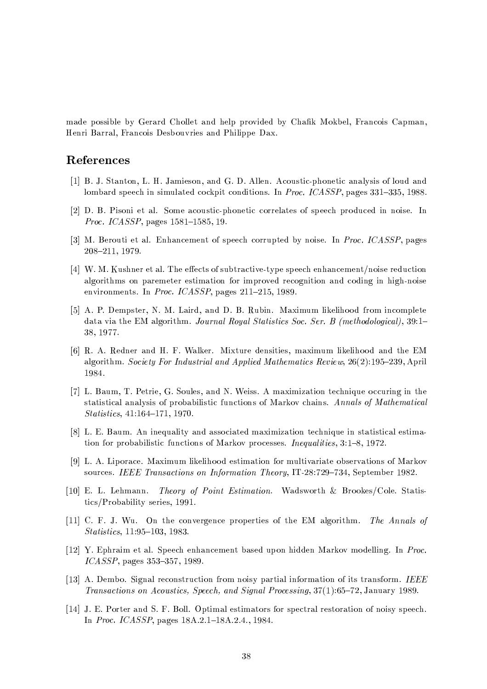made possible by Gerard Chollet and help provided by Chafik Mokbel, Francois Capman, Henri Barral, Francois Desbouvries and Philippe Dax.

## References

- [1] B. J. Stanton, L. H. Jamieson, and G. D. Allen. Acoustic-phonetic analysis of loud and lombard speech in simulated cockpit conditions. In Proc. ICASSP, pages 331-335, 1988.
- [2] D. B. Pisoni et al. Some acoustic-phonetic correlates of speech produced in noise. In Proc. ICASSP, pages 1581-1585, 19.
- [3] M. Berouti et al. Enhancement of speech corrupted by noise. In *Proc. ICASSP*, pages 208-211, 1979.
- [4] W. M. Kushner et al. The effects of subtractive-type speech enhancement/noise reduction algorithms on paremeter estimation for improved recognition and coding in high-noise environments. In Proc. ICASSP, pages 211-215, 1989.
- [5] A. P. Dempster, N. M. Laird, and D. B. Rubin. Maximum likelihood from incomplete data via the EM algorithm. Journal Royal Statistics Soc. Ser. B (methodological), 39:1-38, 1977.
- [6] R. A. Redner and H. F. Walker. Mixture densities, maximum likelihood and the EM algorithm. Society For Industrial and Applied Mathematics Review, 26(2):195-239, April 1984.
- [7] L. Baum, T. Petrie, G. Soules, and N. Weiss. A maximization technique occuring in the statistical analysis of probabilistic functions of Markov chains. Annals of Mathematical  $Statistics, 41:164-171, 1970.$
- [8] L. E. Baum. An inequality and associated maximization technique in statistical estimation for probabilistic functions of Markov processes. Inequalities, 3:1-8, 1972.
- [9] L. A. Liporace. Maximum likelihood estimation for multivariate observations of Markov sources. IEEE Transactions on Information Theory, IT-28:729-734, September 1982.
- [10] E. L. Lehmann. Theory of Point Estimation. Wadsworth & Brookes/Cole. Statistics/Probability series, 1991.
- [11] C. F. J. Wu. On the convergence properties of the EM algorithm. The Annals of Statistics, 11:95-103, 1983.
- [12] Y. Ephraim et al. Speech enhancement based upon hidden Markov modelling. In Proc. ICASSP, pages 353-357, 1989.
- [13] A. Dembo. Signal reconstruction from noisy partial information of its transform. IEEE Transactions on Acoustics, Speech, and Signal Processing, 37(1):65-72, January 1989.
- [14] J. E. Porter and S. F. Boll. Optimal estimators for spectral restoration of noisy speech. In *Proc. ICASSP*, pages 18A.2.1-18A.2.4., 1984.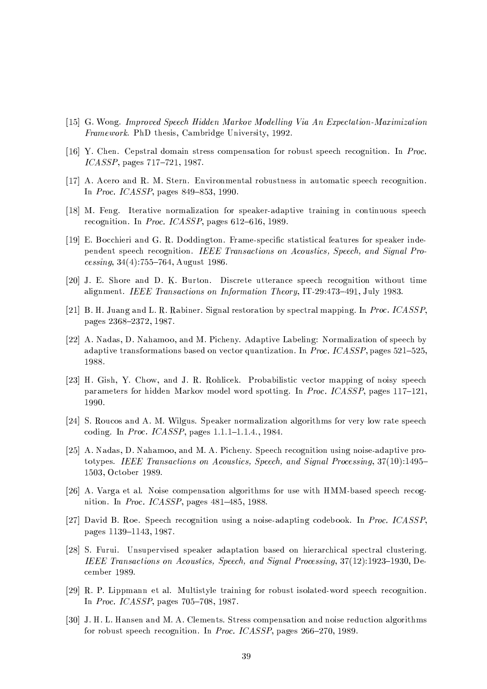- [15] G. Wong. Improved Speech Hidden Markov Modelling Via An Expectation-Maximization Framework. PhD thesis, Cambridge University, 1992.
- [16] Y. Chen. Cepstral domain stress compensation for robust speech recognition. In Proc.  $ICASSP$ , pages  $717-721$ , 1987.
- [17] A. Acero and R. M. Stern. Environmental robustness in automatic speech recognition. In *Proc. ICASSP*, pages  $849 - 853$ , 1990.
- [18] M. Feng. Iterative normalization for speaker-adaptive training in continuous speech recognition. In *Proc. ICASSP*, pages  $612-616$ , 1989.
- [19] E. Bocchieri and G. R. Doddington. Frame-specific statistical features for speaker independent speech recognition. IEEE Transactions on Acoustics, Speech, and Signal Processing,  $34(4)$ :755-764, August 1986.
- [20] J. E. Shore and D. K. Burton. Discrete utterance speech recognition without time alignment. IEEE Transactions on Information Theory, IT-29:473-491, July 1983.
- [21] B. H. Juang and L. R. Rabiner. Signal restoration by spectral mapping. In Proc. ICASSP. pages 2368-2372, 1987.
- [22] A. Nadas, D. Nahamoo, and M. Picheny. Adaptive Labeling: Normalization of speech by adaptive transformations based on vector quantization. In *Proc. ICASSP*, pages  $521-525$ , 1988.
- [23] H. Gish, Y. Chow, and J. R. Rohlicek. Probabilistic vector mapping of noisy speech parameters for hidden Markov model word spotting. In Proc. ICASSP, pages 117-121, 1990.
- [24] S. Roucos and A. M. Wilgus. Speaker normalization algorithms for very low rate speech coding. In *Proc. ICASSP*, pages  $1.1.1-1.1.4$ , 1984.
- [25] A. Nadas, D. Nahamoo, and M. A. Picheny. Speech recognition using noise-adaptive prototypes. IEEE Transactions on Acoustics, Speech, and Signal Processing,  $37(10):1495-$ 1503, October 1989.
- [26] A. Varga et al. Noise compensation algorithms for use with HMM-based speech recognition. In *Proc. ICASSP*, pages  $481-485$ , 1988.
- [27] David B. Roe. Speech recognition using a noise-adapting codebook. In Proc. ICASSP. pages 1139-1143, 1987.
- [28] S. Furui. Unsupervised speaker adaptation based on hierarchical spectral clustering. IEEE Transactions on Acoustics, Speech, and Signal Processing, 37(12):1923-1930, December 1989.
- [29] R. P. Lippmann et al. Multistyle training for robust isolated-word speech recognition. In Proc. ICASSP, pages  $705-708$ , 1987.
- [30] J. H. L. Hansen and M. A. Clements. Stress compensation and noise reduction algorithms for robust speech recognition. In *Proc. ICASSP*, pages 266-270, 1989.